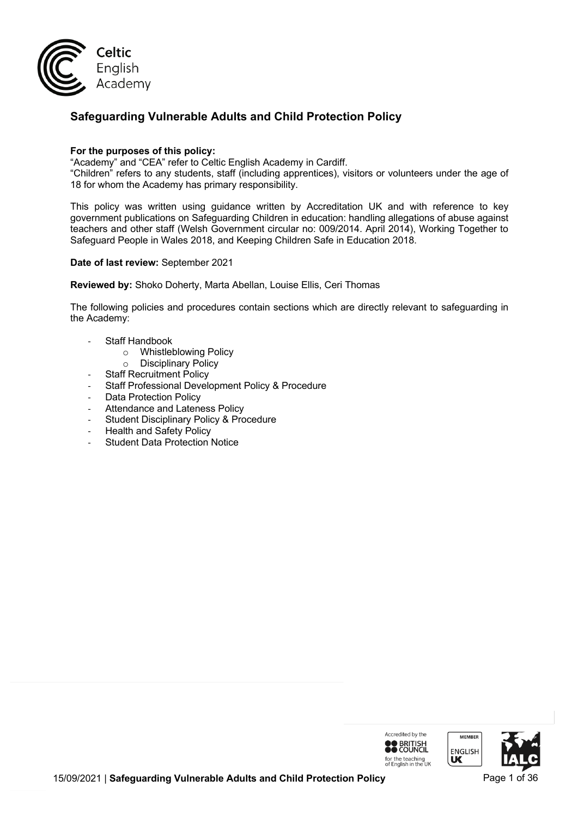

# **Safeguarding Vulnerable Adults and Child Protection Policy**

### **For the purposes of this policy:**

"Academy" and "CEA" refer to Celtic English Academy in Cardiff.

"Children" refers to any students, staff (including apprentices), visitors or volunteers under the age of 18 for whom the Academy has primary responsibility.

This policy was written using guidance written by Accreditation UK and with reference to key government publications on Safeguarding Children in education: handling allegations of abuse against teachers and other staff (Welsh Government circular no: 009/2014. April 2014), Working Together to Safeguard People in Wales 2018, and Keeping Children Safe in Education 2018.

#### **Date of last review:** September 2021

**Reviewed by:** Shoko Doherty, Marta Abellan, Louise Ellis, Ceri Thomas

The following policies and procedures contain sections which are directly relevant to safeguarding in the Academy:

- Staff Handbook
	- o Whistleblowing Policy
	- o Disciplinary Policy
- **Staff Recruitment Policy**
- Staff Professional Development Policy & Procedure
- Data Protection Policy
- Attendance and Lateness Policy
- Student Disciplinary Policy & Procedure
- Health and Safety Policy
- **Student Data Protection Notice**

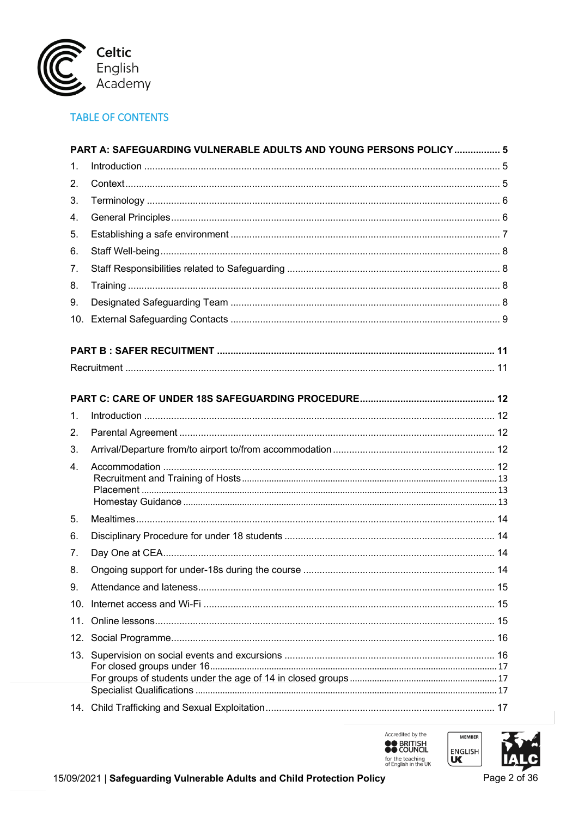

# **TABLE OF CONTENTS**

|                 | PART A: SAFEGUARDING VULNERABLE ADULTS AND YOUNG PERSONS POLICY 5 |  |
|-----------------|-------------------------------------------------------------------|--|
| 1.              |                                                                   |  |
| 2.              |                                                                   |  |
| 3.              |                                                                   |  |
| 4.              |                                                                   |  |
| 5.              |                                                                   |  |
| 6.              |                                                                   |  |
| 7.              |                                                                   |  |
| 8.              |                                                                   |  |
| 9.              |                                                                   |  |
| 10.             |                                                                   |  |
|                 |                                                                   |  |
|                 |                                                                   |  |
|                 |                                                                   |  |
|                 |                                                                   |  |
| $\mathbf 1$ .   |                                                                   |  |
| 2.              |                                                                   |  |
| 3.              |                                                                   |  |
| 4.              |                                                                   |  |
|                 |                                                                   |  |
|                 |                                                                   |  |
| 5.              |                                                                   |  |
| 6.              |                                                                   |  |
| 7.              |                                                                   |  |
| 8.              |                                                                   |  |
| 9.              |                                                                   |  |
| 10.             |                                                                   |  |
| 11 <sup>1</sup> |                                                                   |  |
|                 |                                                                   |  |
|                 |                                                                   |  |
|                 |                                                                   |  |
|                 |                                                                   |  |
|                 |                                                                   |  |





**MEMBER** 

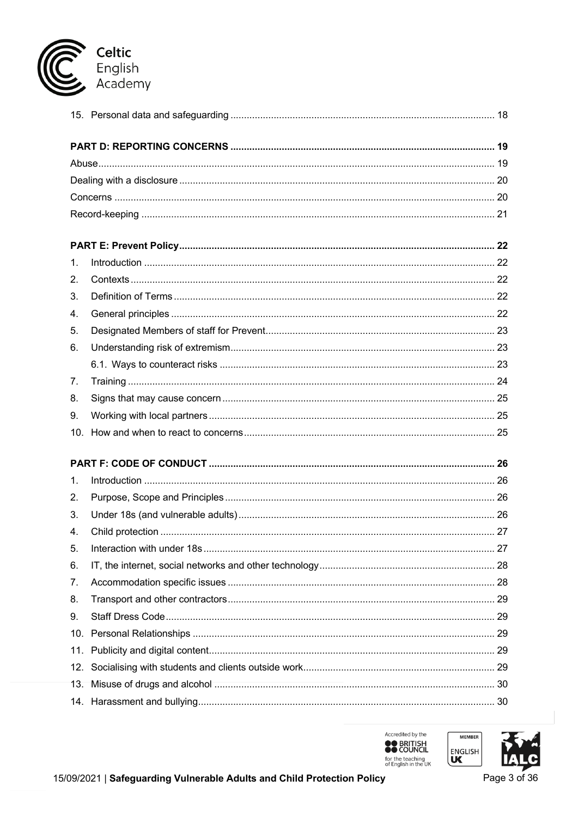

| 1.  |  |  |  |  |  |
|-----|--|--|--|--|--|
| 2.  |  |  |  |  |  |
| 3.  |  |  |  |  |  |
| 4.  |  |  |  |  |  |
| 5.  |  |  |  |  |  |
| 6.  |  |  |  |  |  |
|     |  |  |  |  |  |
| 7.  |  |  |  |  |  |
| 8.  |  |  |  |  |  |
| 9.  |  |  |  |  |  |
|     |  |  |  |  |  |
|     |  |  |  |  |  |
|     |  |  |  |  |  |
| 1.  |  |  |  |  |  |
| 2.  |  |  |  |  |  |
| 3.  |  |  |  |  |  |
| 4.  |  |  |  |  |  |
| 5.  |  |  |  |  |  |
| 6.  |  |  |  |  |  |
| 7.  |  |  |  |  |  |
| 8.  |  |  |  |  |  |
| 9.  |  |  |  |  |  |
| 10. |  |  |  |  |  |
| 11. |  |  |  |  |  |
| 12. |  |  |  |  |  |
| 13. |  |  |  |  |  |
|     |  |  |  |  |  |





Page 3 of 36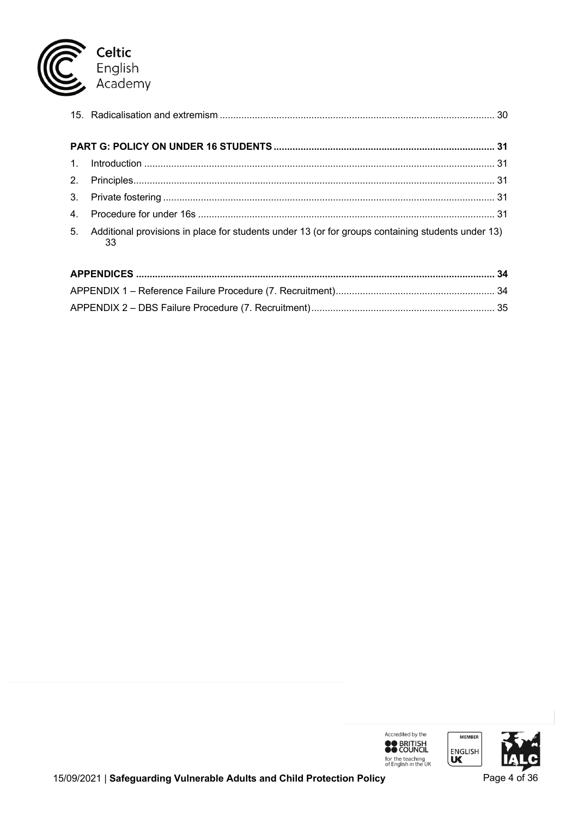

| 2.             |                                                                                                         |  |
|----------------|---------------------------------------------------------------------------------------------------------|--|
|                |                                                                                                         |  |
| $\mathbf{4}$ . |                                                                                                         |  |
| 5.             | Additional provisions in place for students under 13 (or for groups containing students under 13)<br>33 |  |

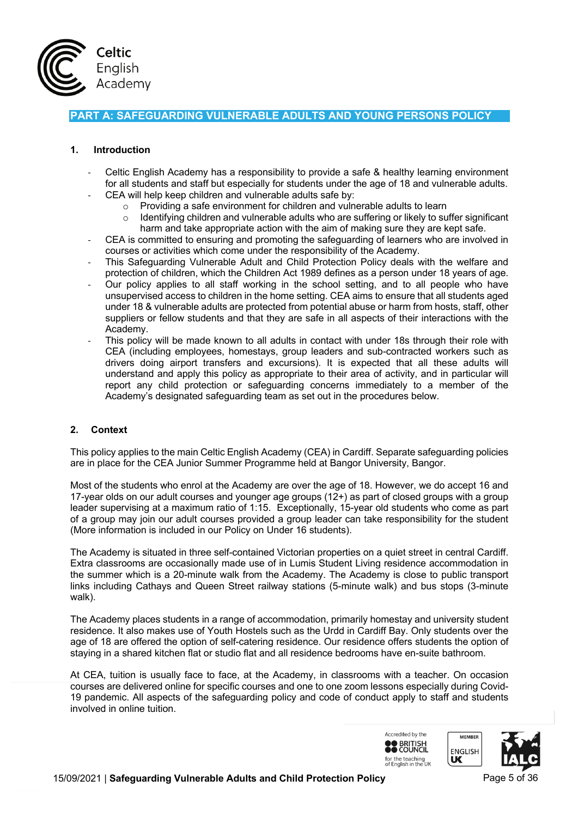

# **PART A: SAFEGUARDING VULNERABLE ADULTS AND YOUNG PERSONS POLICY**

# **1. Introduction**

- Celtic English Academy has a responsibility to provide a safe & healthy learning environment for all students and staff but especially for students under the age of 18 and vulnerable adults.
	- CEA will help keep children and vulnerable adults safe by:
		- o Providing a safe environment for children and vulnerable adults to learn
		- Identifying children and vulnerable adults who are suffering or likely to suffer significant harm and take appropriate action with the aim of making sure they are kept safe.
- CEA is committed to ensuring and promoting the safeguarding of learners who are involved in courses or activities which come under the responsibility of the Academy.
- This Safeguarding Vulnerable Adult and Child Protection Policy deals with the welfare and protection of children, which the Children Act 1989 defines as a person under 18 years of age.
- Our policy applies to all staff working in the school setting, and to all people who have unsupervised access to children in the home setting. CEA aims to ensure that all students aged under 18 & vulnerable adults are protected from potential abuse or harm from hosts, staff, other suppliers or fellow students and that they are safe in all aspects of their interactions with the Academy.
- This policy will be made known to all adults in contact with under 18s through their role with CEA (including employees, homestays, group leaders and sub-contracted workers such as drivers doing airport transfers and excursions). It is expected that all these adults will understand and apply this policy as appropriate to their area of activity, and in particular will report any child protection or safeguarding concerns immediately to a member of the Academy's designated safeguarding team as set out in the procedures below.

### **2. Context**

This policy applies to the main Celtic English Academy (CEA) in Cardiff. Separate safeguarding policies are in place for the CEA Junior Summer Programme held at Bangor University, Bangor.

Most of the students who enrol at the Academy are over the age of 18. However, we do accept 16 and 17-year olds on our adult courses and younger age groups (12+) as part of closed groups with a group leader supervising at a maximum ratio of 1:15. Exceptionally, 15-year old students who come as part of a group may join our adult courses provided a group leader can take responsibility for the student (More information is included in our Policy on Under 16 students).

The Academy is situated in three self-contained Victorian properties on a quiet street in central Cardiff. Extra classrooms are occasionally made use of in Lumis Student Living residence accommodation in the summer which is a 20-minute walk from the Academy. The Academy is close to public transport links including Cathays and Queen Street railway stations (5-minute walk) and bus stops (3-minute walk).

The Academy places students in a range of accommodation, primarily homestay and university student residence. It also makes use of Youth Hostels such as the Urdd in Cardiff Bay. Only students over the age of 18 are offered the option of self-catering residence. Our residence offers students the option of staying in a shared kitchen flat or studio flat and all residence bedrooms have en-suite bathroom.

At CEA, tuition is usually face to face, at the Academy, in classrooms with a teacher. On occasion courses are delivered online for specific courses and one to one zoom lessons especially during Covid-19 pandemic. All aspects of the safeguarding policy and code of conduct apply to staff and students involved in online tuition.



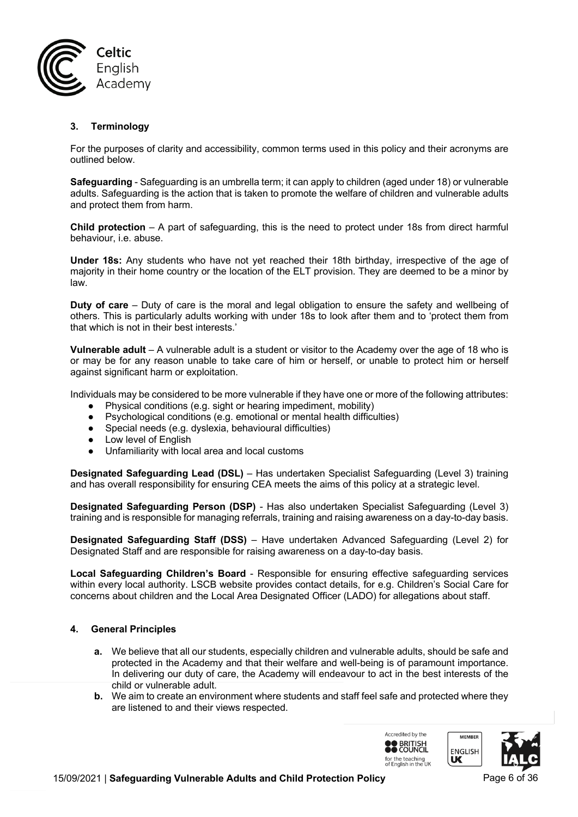

# **3. Terminology**

For the purposes of clarity and accessibility, common terms used in this policy and their acronyms are outlined below.

**Safeguarding** - Safeguarding is an umbrella term; it can apply to children (aged under 18) or vulnerable adults. Safeguarding is the action that is taken to promote the welfare of children and vulnerable adults and protect them from harm.

**Child protection** – A part of safeguarding, this is the need to protect under 18s from direct harmful behaviour, i.e. abuse.

**Under 18s:** Any students who have not yet reached their 18th birthday, irrespective of the age of majority in their home country or the location of the ELT provision. They are deemed to be a minor by law.

**Duty of care** – Duty of care is the moral and legal obligation to ensure the safety and wellbeing of others. This is particularly adults working with under 18s to look after them and to 'protect them from that which is not in their best interests.'

**Vulnerable adult** – A vulnerable adult is a student or visitor to the Academy over the age of 18 who is or may be for any reason unable to take care of him or herself, or unable to protect him or herself against significant harm or exploitation.

Individuals may be considered to be more vulnerable if they have one or more of the following attributes:

- Physical conditions (e.g. sight or hearing impediment, mobility)
- Psychological conditions (e.g. emotional or mental health difficulties)
- Special needs (e.g. dyslexia, behavioural difficulties)
- Low level of English
- Unfamiliarity with local area and local customs

**Designated Safeguarding Lead (DSL)** – Has undertaken Specialist Safeguarding (Level 3) training and has overall responsibility for ensuring CEA meets the aims of this policy at a strategic level.

**Designated Safeguarding Person (DSP)** - Has also undertaken Specialist Safeguarding (Level 3) training and is responsible for managing referrals, training and raising awareness on a day-to-day basis.

**Designated Safeguarding Staff (DSS)** – Have undertaken Advanced Safeguarding (Level 2) for Designated Staff and are responsible for raising awareness on a day-to-day basis.

**Local Safeguarding Children's Board** - Responsible for ensuring effective safeguarding services within every local authority. LSCB website provides contact details, for e.g. Children's Social Care for concerns about children and the Local Area Designated Officer (LADO) for allegations about staff.

### **4. General Principles**

- **a.** We believe that all our students, especially children and vulnerable adults, should be safe and protected in the Academy and that their welfare and well-being is of paramount importance. In delivering our duty of care, the Academy will endeavour to act in the best interests of the child or vulnerable adult.
- **b.** We aim to create an environment where students and staff feel safe and protected where they are listened to and their views respected.

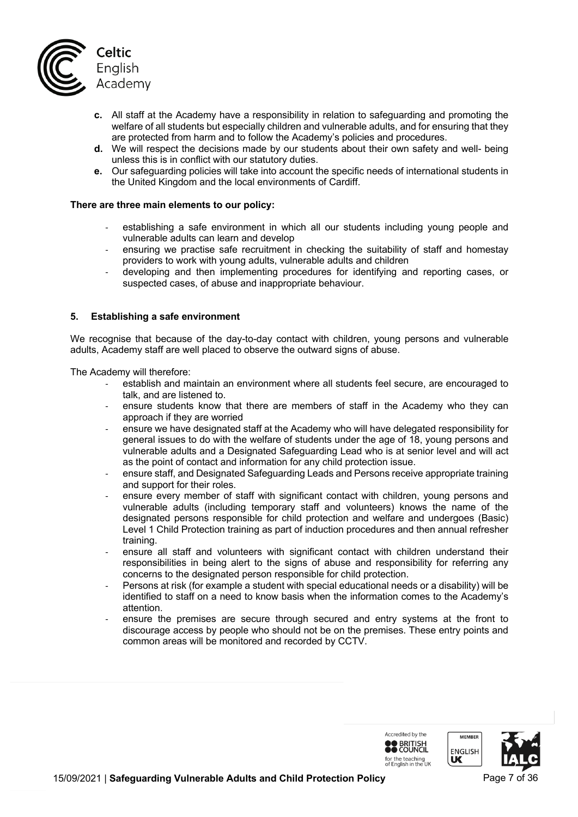

- **c.** All staff at the Academy have a responsibility in relation to safeguarding and promoting the welfare of all students but especially children and vulnerable adults, and for ensuring that they are protected from harm and to follow the Academy's policies and procedures.
- **d.** We will respect the decisions made by our students about their own safety and well- being unless this is in conflict with our statutory duties.
- **e.** Our safeguarding policies will take into account the specific needs of international students in the United Kingdom and the local environments of Cardiff.

#### **There are three main elements to our policy:**

- establishing a safe environment in which all our students including young people and vulnerable adults can learn and develop
- ensuring we practise safe recruitment in checking the suitability of staff and homestay providers to work with young adults, vulnerable adults and children
- developing and then implementing procedures for identifying and reporting cases, or suspected cases, of abuse and inappropriate behaviour.

#### **5. Establishing a safe environment**

We recognise that because of the day-to-day contact with children, young persons and vulnerable adults, Academy staff are well placed to observe the outward signs of abuse.

The Academy will therefore:

- establish and maintain an environment where all students feel secure, are encouraged to talk, and are listened to.
- ensure students know that there are members of staff in the Academy who they can approach if they are worried
- ensure we have designated staff at the Academy who will have delegated responsibility for general issues to do with the welfare of students under the age of 18, young persons and vulnerable adults and a Designated Safeguarding Lead who is at senior level and will act as the point of contact and information for any child protection issue.
- ensure staff, and Designated Safeguarding Leads and Persons receive appropriate training and support for their roles.
- ensure every member of staff with significant contact with children, young persons and vulnerable adults (including temporary staff and volunteers) knows the name of the designated persons responsible for child protection and welfare and undergoes (Basic) Level 1 Child Protection training as part of induction procedures and then annual refresher training.
- ensure all staff and volunteers with significant contact with children understand their responsibilities in being alert to the signs of abuse and responsibility for referring any concerns to the designated person responsible for child protection.
- Persons at risk (for example a student with special educational needs or a disability) will be identified to staff on a need to know basis when the information comes to the Academy's attention.
- ensure the premises are secure through secured and entry systems at the front to discourage access by people who should not be on the premises. These entry points and common areas will be monitored and recorded by CCTV.



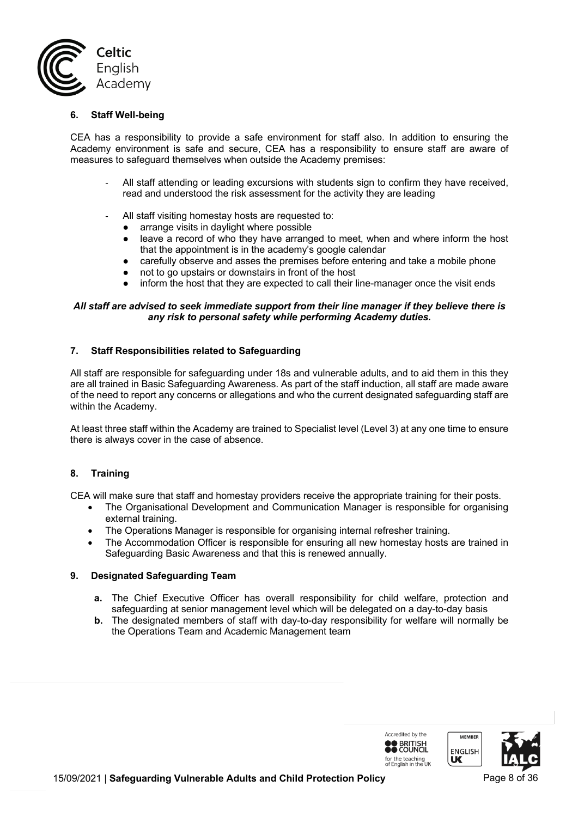

#### **6. Staff Well-being**

CEA has a responsibility to provide a safe environment for staff also. In addition to ensuring the Academy environment is safe and secure, CEA has a responsibility to ensure staff are aware of measures to safeguard themselves when outside the Academy premises:

- All staff attending or leading excursions with students sign to confirm they have received, read and understood the risk assessment for the activity they are leading
- All staff visiting homestay hosts are requested to:
	- arrange visits in daylight where possible
	- leave a record of who they have arranged to meet, when and where inform the host that the appointment is in the academy's google calendar
	- carefully observe and asses the premises before entering and take a mobile phone
	- not to go upstairs or downstairs in front of the host
	- inform the host that they are expected to call their line-manager once the visit ends

### *All staff are advised to seek immediate support from their line manager if they believe there is any risk to personal safety while performing Academy duties.*

#### **7. Staff Responsibilities related to Safeguarding**

All staff are responsible for safeguarding under 18s and vulnerable adults, and to aid them in this they are all trained in Basic Safeguarding Awareness. As part of the staff induction, all staff are made aware of the need to report any concerns or allegations and who the current designated safeguarding staff are within the Academy.

At least three staff within the Academy are trained to Specialist level (Level 3) at any one time to ensure there is always cover in the case of absence.

### **8. Training**

CEA will make sure that staff and homestay providers receive the appropriate training for their posts.

- The Organisational Development and Communication Manager is responsible for organising external training.
- The Operations Manager is responsible for organising internal refresher training.
- The Accommodation Officer is responsible for ensuring all new homestay hosts are trained in Safeguarding Basic Awareness and that this is renewed annually.

#### **9. Designated Safeguarding Team**

- **a.** The Chief Executive Officer has overall responsibility for child welfare, protection and safeguarding at senior management level which will be delegated on a day-to-day basis
- **b.** The designated members of staff with day-to-day responsibility for welfare will normally be the Operations Team and Academic Management team



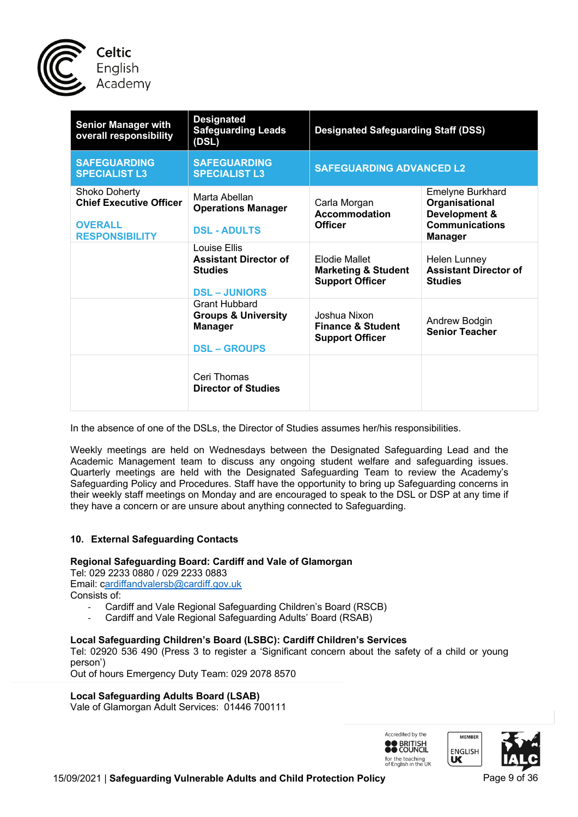

| <b>Senior Manager with</b><br>overall responsibility                                       | <b>Designated</b><br><b>Safeguarding Leads</b><br>(DSL)                                         | <b>Designated Safeguarding Staff (DSS)</b><br><b>SAFEGUARDING ADVANCED L2</b> |                                                                                                |
|--------------------------------------------------------------------------------------------|-------------------------------------------------------------------------------------------------|-------------------------------------------------------------------------------|------------------------------------------------------------------------------------------------|
| <b>SAFEGUARDING</b><br><b>SPECIALIST L3</b>                                                | <b>SAFEGUARDING</b><br><b>SPECIALIST L3</b>                                                     |                                                                               |                                                                                                |
| Shoko Doherty<br><b>Chief Executive Officer</b><br><b>OVERALL</b><br><b>RESPONSIBILITY</b> | Marta Abellan<br><b>Operations Manager</b><br><b>DSL - ADULTS</b>                               | Carla Morgan<br><b>Accommodation</b><br><b>Officer</b>                        | Emelyne Burkhard<br>Organisational<br>Development &<br><b>Communications</b><br><b>Manager</b> |
|                                                                                            | <b>Louise Ellis</b><br><b>Assistant Director of</b><br><b>Studies</b><br><b>DSL – JUNIORS</b>   | Elodie Mallet<br><b>Marketing &amp; Student</b><br><b>Support Officer</b>     | Helen Lunney<br><b>Assistant Director of</b><br><b>Studies</b>                                 |
|                                                                                            | <b>Grant Hubbard</b><br><b>Groups &amp; University</b><br><b>Manager</b><br><b>DSL – GROUPS</b> | Joshua Nixon<br><b>Finance &amp; Student</b><br><b>Support Officer</b>        | Andrew Bodgin<br><b>Senior Teacher</b>                                                         |
|                                                                                            | Ceri Thomas<br><b>Director of Studies</b>                                                       |                                                                               |                                                                                                |

In the absence of one of the DSLs, the Director of Studies assumes her/his responsibilities.

Weekly meetings are held on Wednesdays between the Designated Safeguarding Lead and the Academic Management team to discuss any ongoing student welfare and safeguarding issues. Quarterly meetings are held with the Designated Safeguarding Team to review the Academy's Safeguarding Policy and Procedures. Staff have the opportunity to bring up Safeguarding concerns in their weekly staff meetings on Monday and are encouraged to speak to the DSL or DSP at any time if they have a concern or are unsure about anything connected to Safeguarding.

### **10. External Safeguarding Contacts**

### **Regional Safeguarding Board: Cardiff and Vale of Glamorgan**

Tel: 029 2233 0880 / 029 2233 0883 Email: cardiffandvalersb@cardiff.gov.uk Consists of:

- Cardiff and Vale Regional Safeguarding Children's Board (RSCB)
- Cardiff and Vale Regional Safeguarding Adults' Board (RSAB)

### **Local Safeguarding Children's Board (LSBC): Cardiff Children's Services**

Tel: 02920 536 490 (Press 3 to register a 'Significant concern about the safety of a child or young person')

Out of hours Emergency Duty Team: 029 2078 8570

### **Local Safeguarding Adults Board (LSAB)**

Vale of Glamorgan Adult Services: 01446 700111

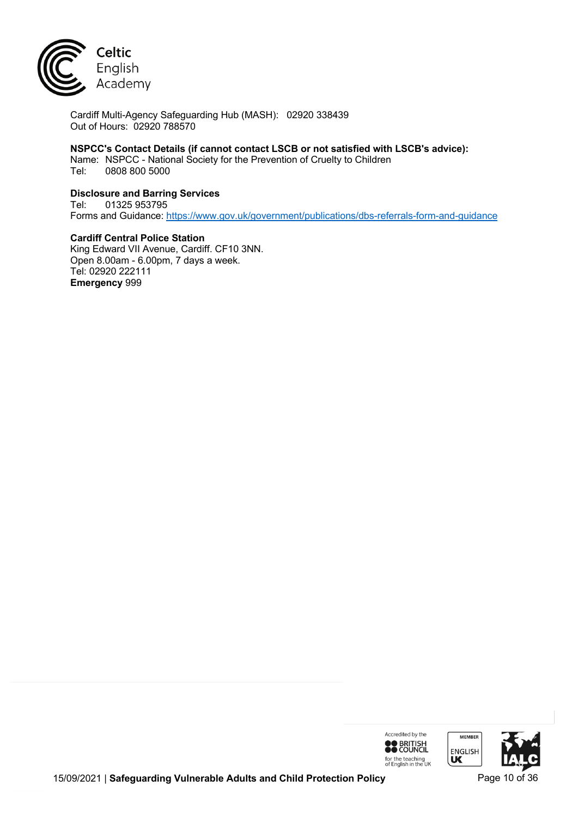

Cardiff Multi-Agency Safeguarding Hub (MASH): 02920 338439 Out of Hours: 02920 788570

# **NSPCC's Contact Details (if cannot contact LSCB or not satisfied with LSCB's advice):**

Name: NSPCC - National Society for the Prevention of Cruelty to Children Tel: 0808 800 5000

### **Disclosure and Barring Services**

Tel: 01325 953795 Forms and Guidance: https://www.gov.uk/government/publications/dbs-referrals-form-and-guidance

**Cardiff Central Police Station** King Edward VII Avenue, Cardiff. CF10 3NN. Open 8.00am - 6.00pm, 7 days a week. Tel: 02920 222111 **Emergency** 999

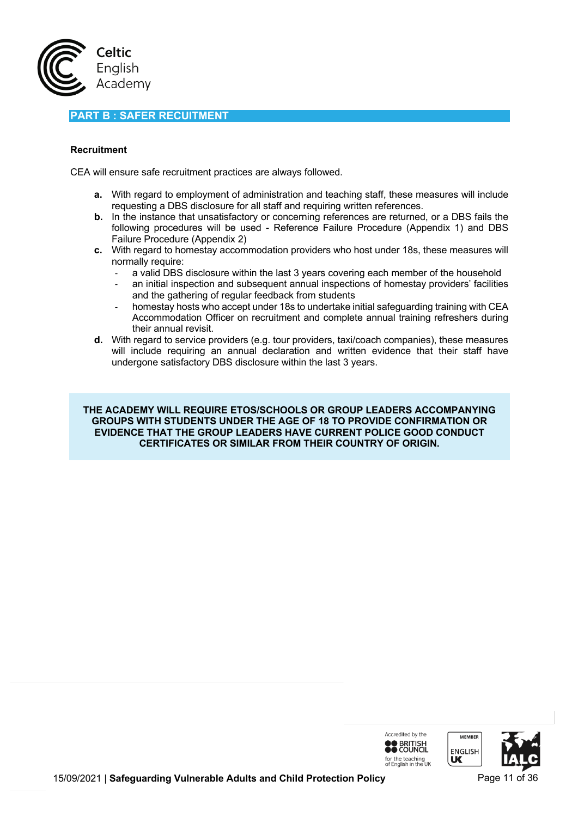

# **PART B : SAFER RECUITMENT**

### **Recruitment**

CEA will ensure safe recruitment practices are always followed.

- **a.** With regard to employment of administration and teaching staff, these measures will include requesting a DBS disclosure for all staff and requiring written references.
- **b.** In the instance that unsatisfactory or concerning references are returned, or a DBS fails the following procedures will be used - Reference Failure Procedure (Appendix 1) and DBS Failure Procedure (Appendix 2)
- **c.** With regard to homestay accommodation providers who host under 18s, these measures will normally require:
	- a valid DBS disclosure within the last 3 years covering each member of the household
	- an initial inspection and subsequent annual inspections of homestay providers' facilities and the gathering of regular feedback from students
	- homestay hosts who accept under 18s to undertake initial safeguarding training with CEA Accommodation Officer on recruitment and complete annual training refreshers during their annual revisit.
- **d.** With regard to service providers (e.g. tour providers, taxi/coach companies), these measures will include requiring an annual declaration and written evidence that their staff have undergone satisfactory DBS disclosure within the last 3 years.

**THE ACADEMY WILL REQUIRE ETOS/SCHOOLS OR GROUP LEADERS ACCOMPANYING GROUPS WITH STUDENTS UNDER THE AGE OF 18 TO PROVIDE CONFIRMATION OR EVIDENCE THAT THE GROUP LEADERS HAVE CURRENT POLICE GOOD CONDUCT CERTIFICATES OR SIMILAR FROM THEIR COUNTRY OF ORIGIN.**



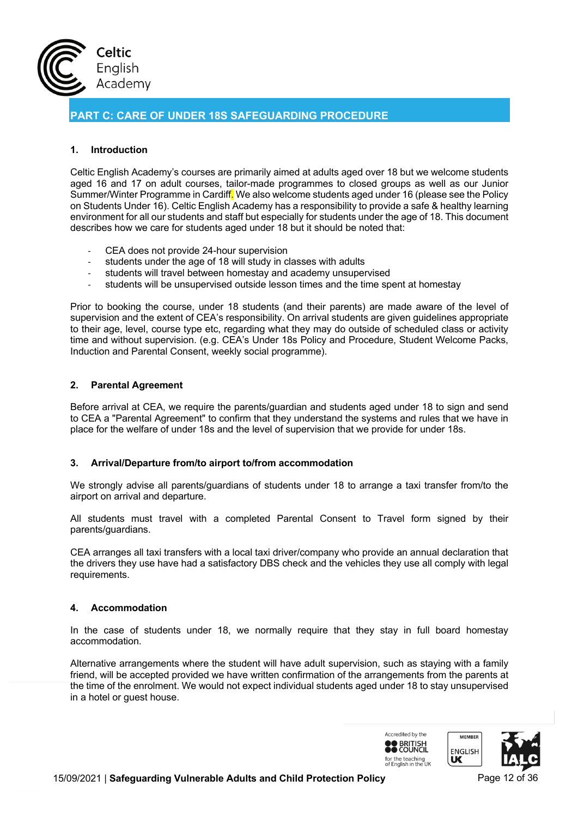

**PART C: CARE OF UNDER 18S SAFEGUARDING PROCEDURE**

# **1. Introduction**

Celtic English Academy's courses are primarily aimed at adults aged over 18 but we welcome students aged 16 and 17 on adult courses, tailor-made programmes to closed groups as well as our Junior Summer/Winter Programme in Cardiff. We also welcome students aged under 16 (please see the Policy on Students Under 16). Celtic English Academy has a responsibility to provide a safe & healthy learning environment for all our students and staff but especially for students under the age of 18. This document describes how we care for students aged under 18 but it should be noted that:

- CEA does not provide 24-hour supervision
- students under the age of 18 will study in classes with adults
- students will travel between homestay and academy unsupervised
- students will be unsupervised outside lesson times and the time spent at homestay

Prior to booking the course, under 18 students (and their parents) are made aware of the level of supervision and the extent of CEA's responsibility. On arrival students are given guidelines appropriate to their age, level, course type etc, regarding what they may do outside of scheduled class or activity time and without supervision. (e.g. CEA's Under 18s Policy and Procedure, Student Welcome Packs, Induction and Parental Consent, weekly social programme).

### **2. Parental Agreement**

Before arrival at CEA, we require the parents/guardian and students aged under 18 to sign and send to CEA a "Parental Agreement" to confirm that they understand the systems and rules that we have in place for the welfare of under 18s and the level of supervision that we provide for under 18s.

### **3. Arrival/Departure from/to airport to/from accommodation**

We strongly advise all parents/guardians of students under 18 to arrange a taxi transfer from/to the airport on arrival and departure.

All students must travel with a completed Parental Consent to Travel form signed by their parents/guardians.

CEA arranges all taxi transfers with a local taxi driver/company who provide an annual declaration that the drivers they use have had a satisfactory DBS check and the vehicles they use all comply with legal requirements.

### **4. Accommodation**

In the case of students under 18, we normally require that they stay in full board homestay accommodation.

Alternative arrangements where the student will have adult supervision, such as staying with a family friend, will be accepted provided we have written confirmation of the arrangements from the parents at the time of the enrolment. We would not expect individual students aged under 18 to stay unsupervised in a hotel or guest house.

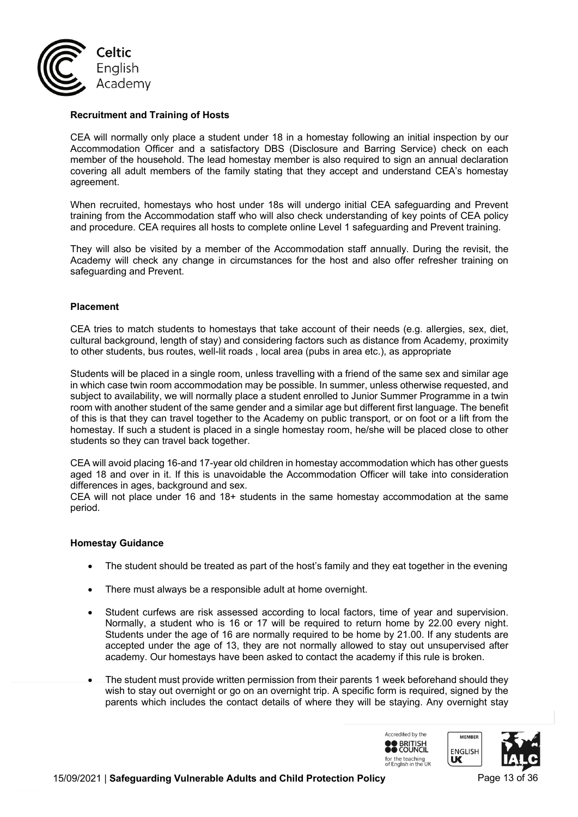

### **Recruitment and Training of Hosts**

CEA will normally only place a student under 18 in a homestay following an initial inspection by our Accommodation Officer and a satisfactory DBS (Disclosure and Barring Service) check on each member of the household. The lead homestay member is also required to sign an annual declaration covering all adult members of the family stating that they accept and understand CEA's homestay agreement.

When recruited, homestays who host under 18s will undergo initial CEA safeguarding and Prevent training from the Accommodation staff who will also check understanding of key points of CEA policy and procedure. CEA requires all hosts to complete online Level 1 safeguarding and Prevent training.

They will also be visited by a member of the Accommodation staff annually. During the revisit, the Academy will check any change in circumstances for the host and also offer refresher training on safeguarding and Prevent.

#### **Placement**

CEA tries to match students to homestays that take account of their needs (e.g. allergies, sex, diet, cultural background, length of stay) and considering factors such as distance from Academy, proximity to other students, bus routes, well-lit roads , local area (pubs in area etc.), as appropriate

Students will be placed in a single room, unless travelling with a friend of the same sex and similar age in which case twin room accommodation may be possible. In summer, unless otherwise requested, and subject to availability, we will normally place a student enrolled to Junior Summer Programme in a twin room with another student of the same gender and a similar age but different first language. The benefit of this is that they can travel together to the Academy on public transport, or on foot or a lift from the homestay. If such a student is placed in a single homestay room, he/she will be placed close to other students so they can travel back together.

CEA will avoid placing 16-and 17-year old children in homestay accommodation which has other guests aged 18 and over in it. If this is unavoidable the Accommodation Officer will take into consideration differences in ages, background and sex.

CEA will not place under 16 and 18+ students in the same homestay accommodation at the same period.

#### **Homestay Guidance**

- The student should be treated as part of the host's family and they eat together in the evening
- There must always be a responsible adult at home overnight.
- Student curfews are risk assessed according to local factors, time of year and supervision. Normally, a student who is 16 or 17 will be required to return home by 22.00 every night. Students under the age of 16 are normally required to be home by 21.00. If any students are accepted under the age of 13, they are not normally allowed to stay out unsupervised after academy. Our homestays have been asked to contact the academy if this rule is broken.
- The student must provide written permission from their parents 1 week beforehand should they wish to stay out overnight or go on an overnight trip. A specific form is required, signed by the parents which includes the contact details of where they will be staying. Any overnight stay

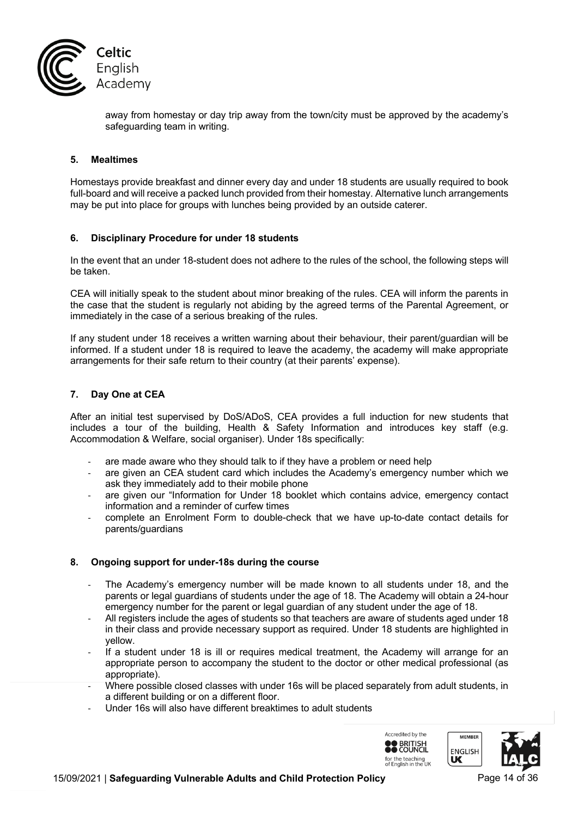

away from homestay or day trip away from the town/city must be approved by the academy's safeguarding team in writing.

# **5. Mealtimes**

Homestays provide breakfast and dinner every day and under 18 students are usually required to book full-board and will receive a packed lunch provided from their homestay. Alternative lunch arrangements may be put into place for groups with lunches being provided by an outside caterer.

#### **6. Disciplinary Procedure for under 18 students**

In the event that an under 18-student does not adhere to the rules of the school, the following steps will be taken.

CEA will initially speak to the student about minor breaking of the rules. CEA will inform the parents in the case that the student is regularly not abiding by the agreed terms of the Parental Agreement, or immediately in the case of a serious breaking of the rules.

If any student under 18 receives a written warning about their behaviour, their parent/guardian will be informed. If a student under 18 is required to leave the academy, the academy will make appropriate arrangements for their safe return to their country (at their parents' expense).

### **7. Day One at CEA**

After an initial test supervised by DoS/ADoS, CEA provides a full induction for new students that includes a tour of the building, Health & Safety Information and introduces key staff (e.g. Accommodation & Welfare, social organiser). Under 18s specifically:

- are made aware who they should talk to if they have a problem or need help
- are given an CEA student card which includes the Academy's emergency number which we ask they immediately add to their mobile phone
- are given our "Information for Under 18 booklet which contains advice, emergency contact information and a reminder of curfew times
- complete an Enrolment Form to double-check that we have up-to-date contact details for parents/guardians

### **8. Ongoing support for under-18s during the course**

- The Academy's emergency number will be made known to all students under 18, and the parents or legal guardians of students under the age of 18. The Academy will obtain a 24-hour emergency number for the parent or legal guardian of any student under the age of 18.
- All registers include the ages of students so that teachers are aware of students aged under 18 in their class and provide necessary support as required. Under 18 students are highlighted in yellow.
- If a student under 18 is ill or requires medical treatment, the Academy will arrange for an appropriate person to accompany the student to the doctor or other medical professional (as appropriate).
- Where possible closed classes with under 16s will be placed separately from adult students, in a different building or on a different floor.
- Under 16s will also have different breaktimes to adult students

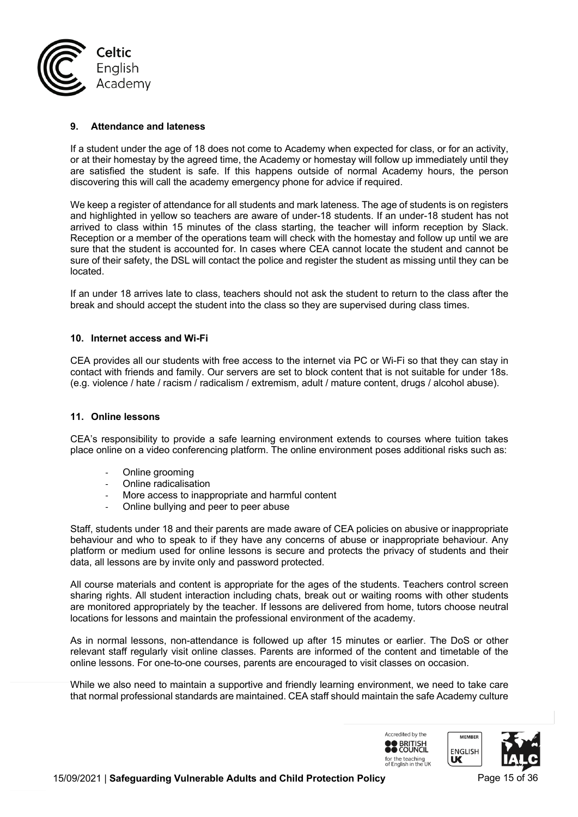

#### **9. Attendance and lateness**

If a student under the age of 18 does not come to Academy when expected for class, or for an activity, or at their homestay by the agreed time, the Academy or homestay will follow up immediately until they are satisfied the student is safe. If this happens outside of normal Academy hours, the person discovering this will call the academy emergency phone for advice if required.

We keep a register of attendance for all students and mark lateness. The age of students is on registers and highlighted in yellow so teachers are aware of under-18 students. If an under-18 student has not arrived to class within 15 minutes of the class starting, the teacher will inform reception by Slack. Reception or a member of the operations team will check with the homestay and follow up until we are sure that the student is accounted for. In cases where CEA cannot locate the student and cannot be sure of their safety, the DSL will contact the police and register the student as missing until they can be located.

If an under 18 arrives late to class, teachers should not ask the student to return to the class after the break and should accept the student into the class so they are supervised during class times.

#### **10. Internet access and Wi-Fi**

CEA provides all our students with free access to the internet via PC or Wi-Fi so that they can stay in contact with friends and family. Our servers are set to block content that is not suitable for under 18s. (e.g. violence / hate / racism / radicalism / extremism, adult / mature content, drugs / alcohol abuse).

#### **11. Online lessons**

CEA's responsibility to provide a safe learning environment extends to courses where tuition takes place online on a video conferencing platform. The online environment poses additional risks such as:

- Online grooming
- Online radicalisation
- More access to inappropriate and harmful content
- Online bullying and peer to peer abuse

Staff, students under 18 and their parents are made aware of CEA policies on abusive or inappropriate behaviour and who to speak to if they have any concerns of abuse or inappropriate behaviour. Any platform or medium used for online lessons is secure and protects the privacy of students and their data, all lessons are by invite only and password protected.

All course materials and content is appropriate for the ages of the students. Teachers control screen sharing rights. All student interaction including chats, break out or waiting rooms with other students are monitored appropriately by the teacher. If lessons are delivered from home, tutors choose neutral locations for lessons and maintain the professional environment of the academy.

As in normal lessons, non-attendance is followed up after 15 minutes or earlier. The DoS or other relevant staff regularly visit online classes. Parents are informed of the content and timetable of the online lessons. For one-to-one courses, parents are encouraged to visit classes on occasion.

While we also need to maintain a supportive and friendly learning environment, we need to take care that normal professional standards are maintained. CEA staff should maintain the safe Academy culture



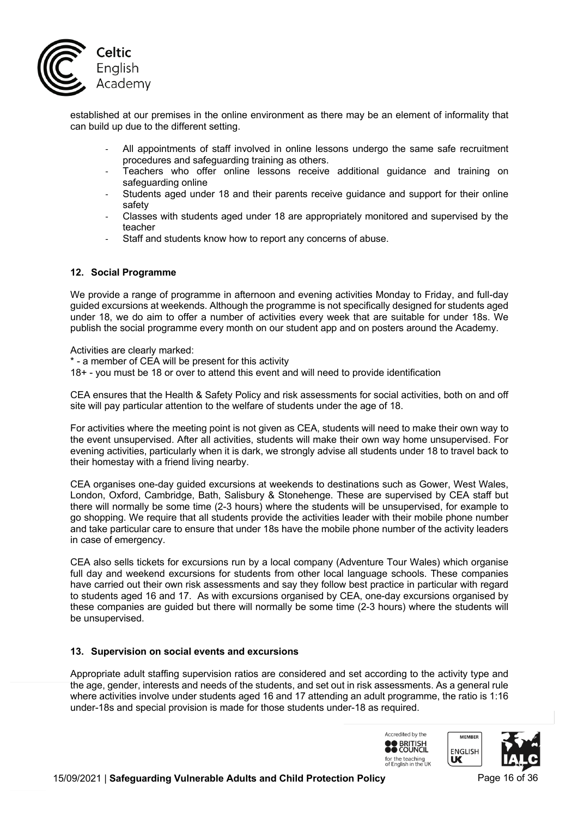

established at our premises in the online environment as there may be an element of informality that can build up due to the different setting.

- All appointments of staff involved in online lessons undergo the same safe recruitment procedures and safeguarding training as others.
- Teachers who offer online lessons receive additional guidance and training on safeguarding online
- Students aged under 18 and their parents receive guidance and support for their online safety
- Classes with students aged under 18 are appropriately monitored and supervised by the teacher
- Staff and students know how to report any concerns of abuse.

#### **12. Social Programme**

We provide a range of programme in afternoon and evening activities Monday to Friday, and full-day guided excursions at weekends. Although the programme is not specifically designed for students aged under 18, we do aim to offer a number of activities every week that are suitable for under 18s. We publish the social programme every month on our student app and on posters around the Academy.

Activities are clearly marked:

\* - a member of CEA will be present for this activity

18+ - you must be 18 or over to attend this event and will need to provide identification

CEA ensures that the Health & Safety Policy and risk assessments for social activities, both on and off site will pay particular attention to the welfare of students under the age of 18.

For activities where the meeting point is not given as CEA, students will need to make their own way to the event unsupervised. After all activities, students will make their own way home unsupervised. For evening activities, particularly when it is dark, we strongly advise all students under 18 to travel back to their homestay with a friend living nearby.

CEA organises one-day guided excursions at weekends to destinations such as Gower, West Wales, London, Oxford, Cambridge, Bath, Salisbury & Stonehenge. These are supervised by CEA staff but there will normally be some time (2-3 hours) where the students will be unsupervised, for example to go shopping. We require that all students provide the activities leader with their mobile phone number and take particular care to ensure that under 18s have the mobile phone number of the activity leaders in case of emergency.

CEA also sells tickets for excursions run by a local company (Adventure Tour Wales) which organise full day and weekend excursions for students from other local language schools. These companies have carried out their own risk assessments and say they follow best practice in particular with regard to students aged 16 and 17. As with excursions organised by CEA, one-day excursions organised by these companies are guided but there will normally be some time (2-3 hours) where the students will be unsupervised.

#### **13. Supervision on social events and excursions**

Appropriate adult staffing supervision ratios are considered and set according to the activity type and the age, gender, interests and needs of the students, and set out in risk assessments. As a general rule where activities involve under students aged 16 and 17 attending an adult programme, the ratio is 1:16 under-18s and special provision is made for those students under-18 as required.

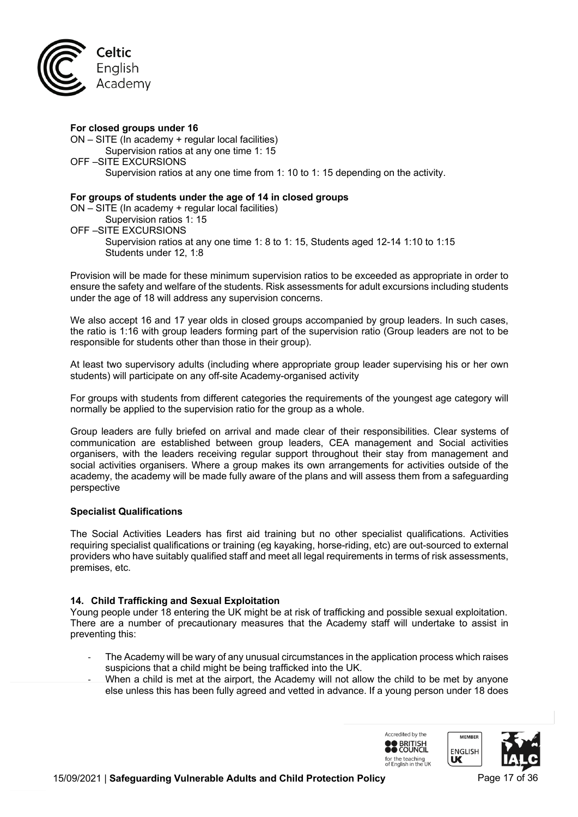

#### **For closed groups under 16**

ON – SITE (In academy + regular local facilities) Supervision ratios at any one time 1: 15 OFF –SITE EXCURSIONS Supervision ratios at any one time from 1: 10 to 1: 15 depending on the activity.

#### **For groups of students under the age of 14 in closed groups**

ON – SITE (In academy + regular local facilities) Supervision ratios 1: 15 OFF –SITE EXCURSIONS Supervision ratios at any one time 1: 8 to 1: 15, Students aged 12-14 1:10 to 1:15 Students under 12, 1:8

Provision will be made for these minimum supervision ratios to be exceeded as appropriate in order to ensure the safety and welfare of the students. Risk assessments for adult excursions including students under the age of 18 will address any supervision concerns.

We also accept 16 and 17 year olds in closed groups accompanied by group leaders. In such cases, the ratio is 1:16 with group leaders forming part of the supervision ratio (Group leaders are not to be responsible for students other than those in their group).

At least two supervisory adults (including where appropriate group leader supervising his or her own students) will participate on any off-site Academy-organised activity

For groups with students from different categories the requirements of the youngest age category will normally be applied to the supervision ratio for the group as a whole.

Group leaders are fully briefed on arrival and made clear of their responsibilities. Clear systems of communication are established between group leaders, CEA management and Social activities organisers, with the leaders receiving regular support throughout their stay from management and social activities organisers. Where a group makes its own arrangements for activities outside of the academy, the academy will be made fully aware of the plans and will assess them from a safeguarding perspective

### **Specialist Qualifications**

The Social Activities Leaders has first aid training but no other specialist qualifications. Activities requiring specialist qualifications or training (eg kayaking, horse-riding, etc) are out-sourced to external providers who have suitably qualified staff and meet all legal requirements in terms of risk assessments, premises, etc.

### **14. Child Trafficking and Sexual Exploitation**

Young people under 18 entering the UK might be at risk of trafficking and possible sexual exploitation. There are a number of precautionary measures that the Academy staff will undertake to assist in preventing this:

- The Academy will be wary of any unusual circumstances in the application process which raises suspicions that a child might be being trafficked into the UK.
- When a child is met at the airport, the Academy will not allow the child to be met by anyone else unless this has been fully agreed and vetted in advance. If a young person under 18 does

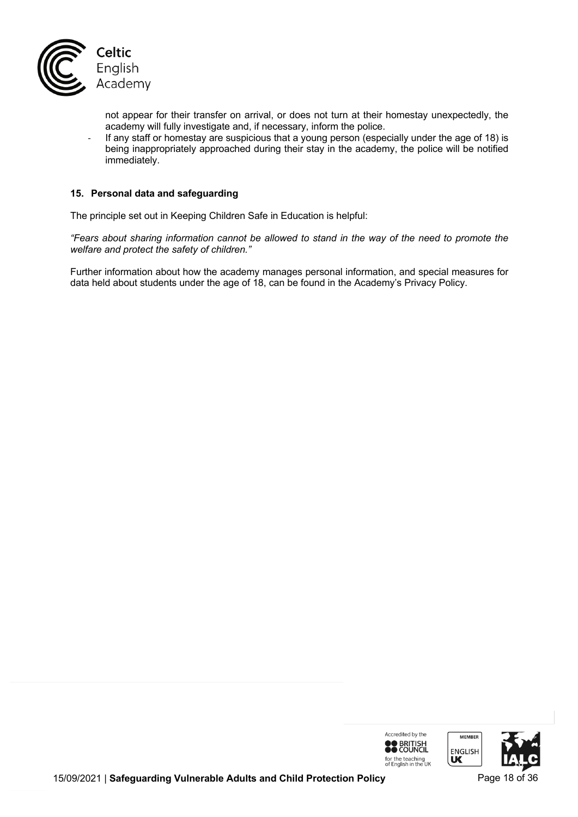

not appear for their transfer on arrival, or does not turn at their homestay unexpectedly, the academy will fully investigate and, if necessary, inform the police.

- If any staff or homestay are suspicious that a young person (especially under the age of 18) is being inappropriately approached during their stay in the academy, the police will be notified immediately.

### **15. Personal data and safeguarding**

The principle set out in Keeping Children Safe in Education is helpful:

*"Fears about sharing information cannot be allowed to stand in the way of the need to promote the welfare and protect the safety of children."*

Further information about how the academy manages personal information, and special measures for data held about students under the age of 18, can be found in the Academy's Privacy Policy.

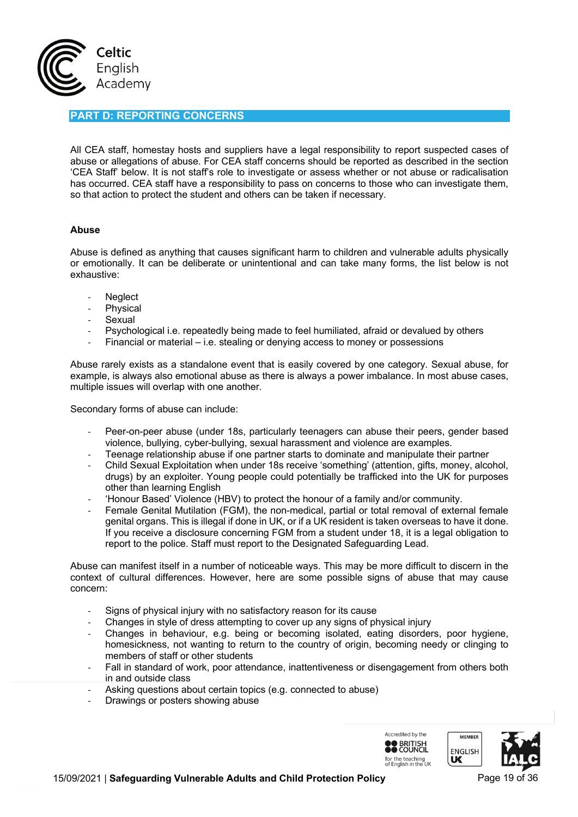

# **PART D: REPORTING CONCERNS**

All CEA staff, homestay hosts and suppliers have a legal responsibility to report suspected cases of abuse or allegations of abuse. For CEA staff concerns should be reported as described in the section 'CEA Staff' below. It is not staff's role to investigate or assess whether or not abuse or radicalisation has occurred. CEA staff have a responsibility to pass on concerns to those who can investigate them, so that action to protect the student and others can be taken if necessary.

#### **Abuse**

Abuse is defined as anything that causes significant harm to children and vulnerable adults physically or emotionally. It can be deliberate or unintentional and can take many forms, the list below is not exhaustive:

- **Neglect**
- **Physical**
- **Sexual**
- Psychological i.e. repeatedly being made to feel humiliated, afraid or devalued by others
- Financial or material i.e. stealing or denying access to money or possessions

Abuse rarely exists as a standalone event that is easily covered by one category. Sexual abuse, for example, is always also emotional abuse as there is always a power imbalance. In most abuse cases, multiple issues will overlap with one another.

Secondary forms of abuse can include:

- Peer-on-peer abuse (under 18s, particularly teenagers can abuse their peers, gender based violence, bullying, cyber-bullying, sexual harassment and violence are examples.
- Teenage relationship abuse if one partner starts to dominate and manipulate their partner
- Child Sexual Exploitation when under 18s receive 'something' (attention, gifts, money, alcohol, drugs) by an exploiter. Young people could potentially be trafficked into the UK for purposes other than learning English
- 'Honour Based' Violence (HBV) to protect the honour of a family and/or community.
- Female Genital Mutilation (FGM), the non-medical, partial or total removal of external female genital organs. This is illegal if done in UK, or if a UK resident is taken overseas to have it done. If you receive a disclosure concerning FGM from a student under 18, it is a legal obligation to report to the police. Staff must report to the Designated Safeguarding Lead.

Abuse can manifest itself in a number of noticeable ways. This may be more difficult to discern in the context of cultural differences. However, here are some possible signs of abuse that may cause concern:

- Signs of physical injury with no satisfactory reason for its cause
- Changes in style of dress attempting to cover up any signs of physical injury
- Changes in behaviour, e.g. being or becoming isolated, eating disorders, poor hygiene, homesickness, not wanting to return to the country of origin, becoming needy or clinging to members of staff or other students
- Fall in standard of work, poor attendance, inattentiveness or disengagement from others both in and outside class
- Asking questions about certain topics (e.g. connected to abuse)
- Drawings or posters showing abuse

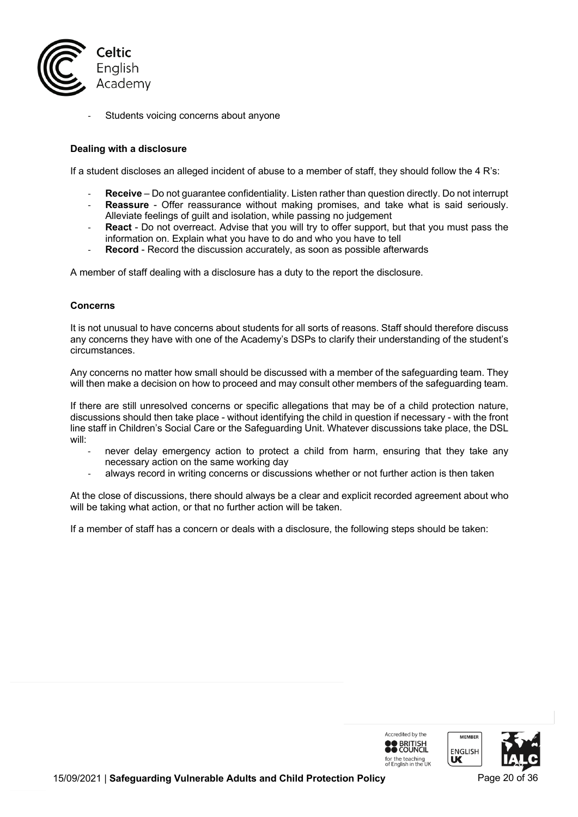

Students voicing concerns about anyone

### **Dealing with a disclosure**

If a student discloses an alleged incident of abuse to a member of staff, they should follow the 4 R's:

- **Receive** Do not guarantee confidentiality. Listen rather than question directly. Do not interrupt
- Reassure Offer reassurance without making promises, and take what is said seriously. Alleviate feelings of guilt and isolation, while passing no judgement
- **React** Do not overreact. Advise that you will try to offer support, but that you must pass the information on. Explain what you have to do and who you have to tell
- **Record** Record the discussion accurately, as soon as possible afterwards

A member of staff dealing with a disclosure has a duty to the report the disclosure.

#### **Concerns**

It is not unusual to have concerns about students for all sorts of reasons. Staff should therefore discuss any concerns they have with one of the Academy's DSPs to clarify their understanding of the student's circumstances.

Any concerns no matter how small should be discussed with a member of the safeguarding team. They will then make a decision on how to proceed and may consult other members of the safeguarding team.

If there are still unresolved concerns or specific allegations that may be of a child protection nature, discussions should then take place - without identifying the child in question if necessary - with the front line staff in Children's Social Care or the Safeguarding Unit. Whatever discussions take place, the DSL will:

- never delay emergency action to protect a child from harm, ensuring that they take any necessary action on the same working day
- always record in writing concerns or discussions whether or not further action is then taken

At the close of discussions, there should always be a clear and explicit recorded agreement about who will be taking what action, or that no further action will be taken.

If a member of staff has a concern or deals with a disclosure, the following steps should be taken:

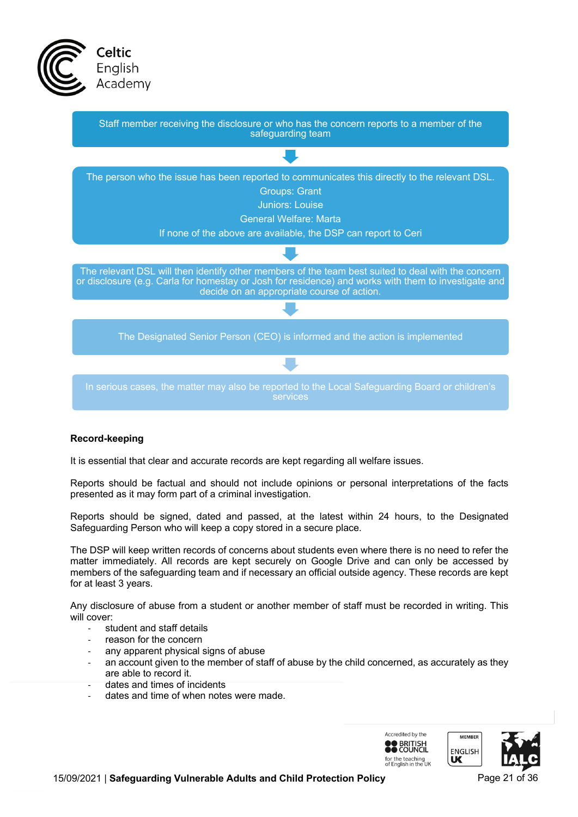



### **Record-keeping**

It is essential that clear and accurate records are kept regarding all welfare issues.

Reports should be factual and should not include opinions or personal interpretations of the facts presented as it may form part of a criminal investigation.

Reports should be signed, dated and passed, at the latest within 24 hours, to the Designated Safeguarding Person who will keep a copy stored in a secure place.

The DSP will keep written records of concerns about students even where there is no need to refer the matter immediately. All records are kept securely on Google Drive and can only be accessed by members of the safeguarding team and if necessary an official outside agency. These records are kept for at least 3 years.

Any disclosure of abuse from a student or another member of staff must be recorded in writing. This will cover:

- student and staff details
- reason for the concern
- any apparent physical signs of abuse
- an account given to the member of staff of abuse by the child concerned, as accurately as they are able to record it.
- dates and times of incidents
- dates and time of when notes were made.

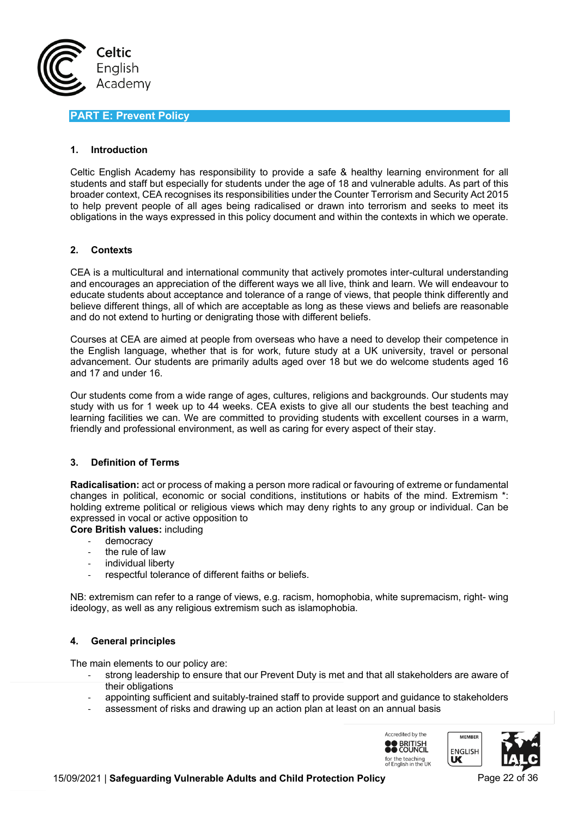

# **PART E: Prevent Policy**

### **1. Introduction**

Celtic English Academy has responsibility to provide a safe & healthy learning environment for all students and staff but especially for students under the age of 18 and vulnerable adults. As part of this broader context, CEA recognises its responsibilities under the Counter Terrorism and Security Act 2015 to help prevent people of all ages being radicalised or drawn into terrorism and seeks to meet its obligations in the ways expressed in this policy document and within the contexts in which we operate.

#### **2. Contexts**

CEA is a multicultural and international community that actively promotes inter-cultural understanding and encourages an appreciation of the different ways we all live, think and learn. We will endeavour to educate students about acceptance and tolerance of a range of views, that people think differently and believe different things, all of which are acceptable as long as these views and beliefs are reasonable and do not extend to hurting or denigrating those with different beliefs.

Courses at CEA are aimed at people from overseas who have a need to develop their competence in the English language, whether that is for work, future study at a UK university, travel or personal advancement. Our students are primarily adults aged over 18 but we do welcome students aged 16 and 17 and under 16.

Our students come from a wide range of ages, cultures, religions and backgrounds. Our students may study with us for 1 week up to 44 weeks. CEA exists to give all our students the best teaching and learning facilities we can. We are committed to providing students with excellent courses in a warm, friendly and professional environment, as well as caring for every aspect of their stay.

### **3. Definition of Terms**

**Radicalisation:** act or process of making a person more radical or favouring of extreme or fundamental changes in political, economic or social conditions, institutions or habits of the mind. Extremism \*: holding extreme political or religious views which may deny rights to any group or individual. Can be expressed in vocal or active opposition to

**Core British values:** including

- democracy
- the rule of law
- individual liberty
- respectful tolerance of different faiths or beliefs.

NB: extremism can refer to a range of views, e.g. racism, homophobia, white supremacism, right- wing ideology, as well as any religious extremism such as islamophobia.

### **4. General principles**

The main elements to our policy are:

- strong leadership to ensure that our Prevent Duty is met and that all stakeholders are aware of their obligations
- appointing sufficient and suitably-trained staff to provide support and guidance to stakeholders
- assessment of risks and drawing up an action plan at least on an annual basis

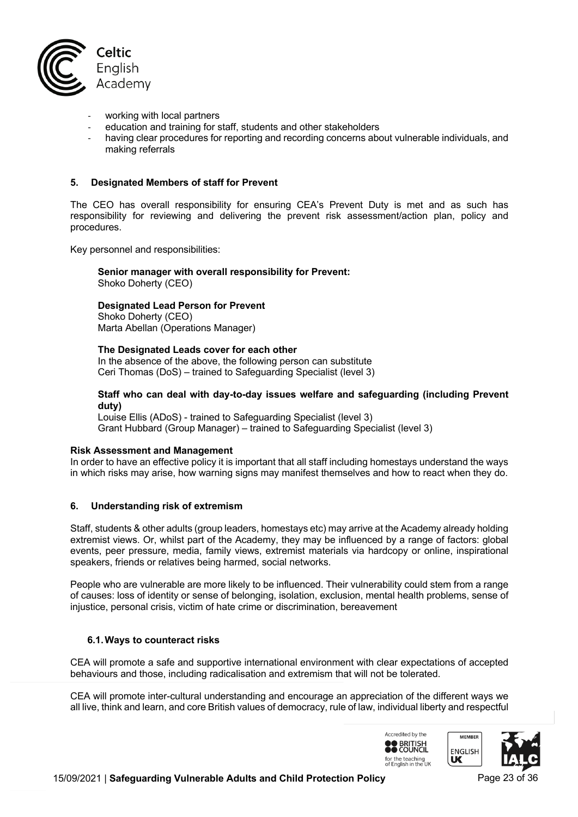

- working with local partners
- education and training for staff, students and other stakeholders
- having clear procedures for reporting and recording concerns about vulnerable individuals, and making referrals

#### **5. Designated Members of staff for Prevent**

The CEO has overall responsibility for ensuring CEA's Prevent Duty is met and as such has responsibility for reviewing and delivering the prevent risk assessment/action plan, policy and procedures.

Key personnel and responsibilities:

**Senior manager with overall responsibility for Prevent:** Shoko Doherty (CEO)

# **Designated Lead Person for Prevent**

Shoko Doherty (CEO) Marta Abellan (Operations Manager)

#### **The Designated Leads cover for each other**

In the absence of the above, the following person can substitute Ceri Thomas (DoS) – trained to Safeguarding Specialist (level 3)

#### **Staff who can deal with day-to-day issues welfare and safeguarding (including Prevent duty)**

Louise Ellis (ADoS) - trained to Safeguarding Specialist (level 3) Grant Hubbard (Group Manager) – trained to Safeguarding Specialist (level 3)

#### **Risk Assessment and Management**

In order to have an effective policy it is important that all staff including homestays understand the ways in which risks may arise, how warning signs may manifest themselves and how to react when they do.

#### **6. Understanding risk of extremism**

Staff, students & other adults (group leaders, homestays etc) may arrive at the Academy already holding extremist views. Or, whilst part of the Academy, they may be influenced by a range of factors: global events, peer pressure, media, family views, extremist materials via hardcopy or online, inspirational speakers, friends or relatives being harmed, social networks.

People who are vulnerable are more likely to be influenced. Their vulnerability could stem from a range of causes: loss of identity or sense of belonging, isolation, exclusion, mental health problems, sense of injustice, personal crisis, victim of hate crime or discrimination, bereavement

#### **6.1.Ways to counteract risks**

CEA will promote a safe and supportive international environment with clear expectations of accepted behaviours and those, including radicalisation and extremism that will not be tolerated.

CEA will promote inter-cultural understanding and encourage an appreciation of the different ways we all live, think and learn, and core British values of democracy, rule of law, individual liberty and respectful

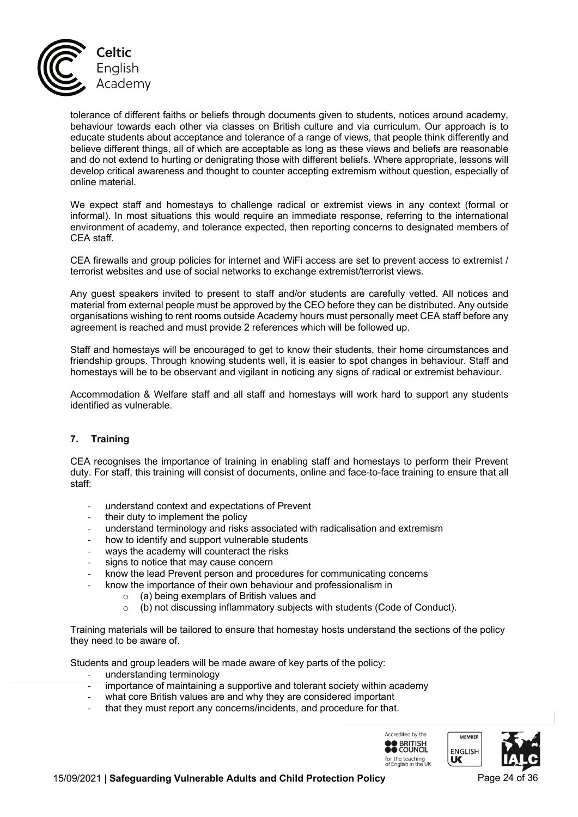

tolerance of different faiths or beliefs through documents given to students, notices around academy, behaviour towards each other via classes on British culture and via curriculum. Our approach is to educate students about acceptance and tolerance of a range of views, that people think differently and believe different things, all of which are acceptable as long as these views and beliefs are reasonable and do not extend to hurting or denigrating those with different beliefs. Where appropriate, lessons will develop critical awareness and thought to counter accepting extremism without question, especially of online material.

We expect staff and homestays to challenge radical or extremist views in any context (formal or informal). In most situations this would require an immediate response, referring to the international environment of academy, and tolerance expected, then reporting concerns to designated members of CEA staff.

CEA firewalls and group policies for internet and WiFi access are set to prevent access to extremist / terrorist websites and use of social networks to exchange extremist/terrorist views.

Any guest speakers invited to present to staff and/or students are carefully vetted. All notices and material from external people must be approved by the CEO before they can be distributed. Any outside organisations wishing to rent rooms outside Academy hours must personally meet CEA staff before any agreement is reached and must provide 2 references which will be followed up.

Staff and homestays will be encouraged to get to know their students, their home circumstances and friendship groups. Through knowing students well, it is easier to spot changes in behaviour. Staff and homestays will be to be observant and vigilant in noticing any signs of radical or extremist behaviour.

Accommodation & Welfare staff and all staff and homestays will work hard to support any students identified as vulnerable.

### **7. Training**

CEA recognises the importance of training in enabling staff and homestays to perform their Prevent duty. For staff, this training will consist of documents, online and face-to-face training to ensure that all staff:

- understand context and expectations of Prevent
- their duty to implement the policy
- understand terminology and risks associated with radicalisation and extremism
- how to identify and support vulnerable students
- ways the academy will counteract the risks
- signs to notice that may cause concern
- know the lead Prevent person and procedures for communicating concerns
- know the importance of their own behaviour and professionalism in
	- o (a) being exemplars of British values and
	- o (b) not discussing inflammatory subjects with students (Code of Conduct).

Training materials will be tailored to ensure that homestay hosts understand the sections of the policy they need to be aware of.

Students and group leaders will be made aware of key parts of the policy:

- understanding terminology
- importance of maintaining a supportive and tolerant society within academy
- what core British values are and why they are considered important
- that they must report any concerns/incidents, and procedure for that.

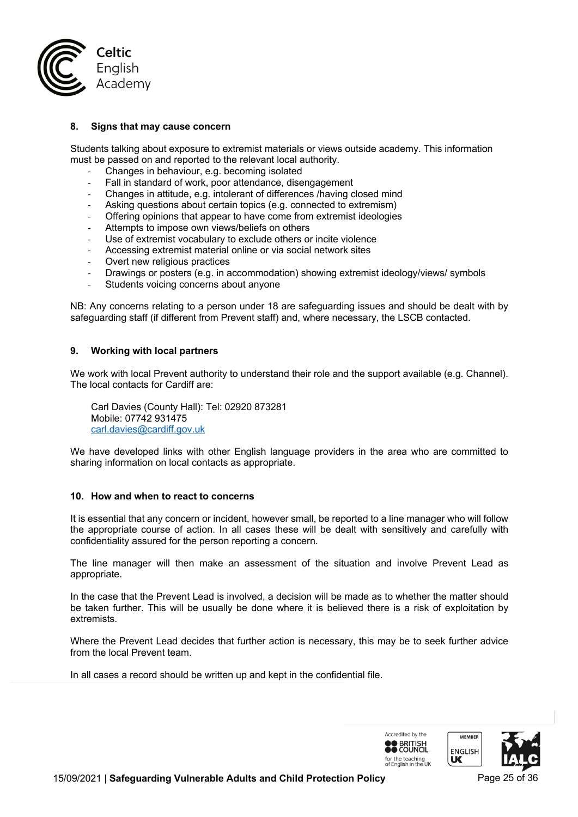

### **8. Signs that may cause concern**

Students talking about exposure to extremist materials or views outside academy. This information must be passed on and reported to the relevant local authority.

- Changes in behaviour, e.g. becoming isolated
- Fall in standard of work, poor attendance, disengagement
- Changes in attitude, e.g. intolerant of differences /having closed mind
- Asking questions about certain topics (e.g. connected to extremism)
- Offering opinions that appear to have come from extremist ideologies
- Attempts to impose own views/beliefs on others
- Use of extremist vocabulary to exclude others or incite violence
- Accessing extremist material online or via social network sites
- Overt new religious practices
- Drawings or posters (e.g. in accommodation) showing extremist ideology/views/ symbols
- Students voicing concerns about anyone

NB: Any concerns relating to a person under 18 are safeguarding issues and should be dealt with by safeguarding staff (if different from Prevent staff) and, where necessary, the LSCB contacted.

#### **9. Working with local partners**

We work with local Prevent authority to understand their role and the support available (e.g. Channel). The local contacts for Cardiff are:

Carl Davies (County Hall): Tel: 02920 873281 Mobile: 07742 931475 carl.davies@cardiff.gov.uk

We have developed links with other English language providers in the area who are committed to sharing information on local contacts as appropriate.

#### **10. How and when to react to concerns**

It is essential that any concern or incident, however small, be reported to a line manager who will follow the appropriate course of action. In all cases these will be dealt with sensitively and carefully with confidentiality assured for the person reporting a concern.

The line manager will then make an assessment of the situation and involve Prevent Lead as appropriate.

In the case that the Prevent Lead is involved, a decision will be made as to whether the matter should be taken further. This will be usually be done where it is believed there is a risk of exploitation by extremists.

Where the Prevent Lead decides that further action is necessary, this may be to seek further advice from the local Prevent team.

In all cases a record should be written up and kept in the confidential file.

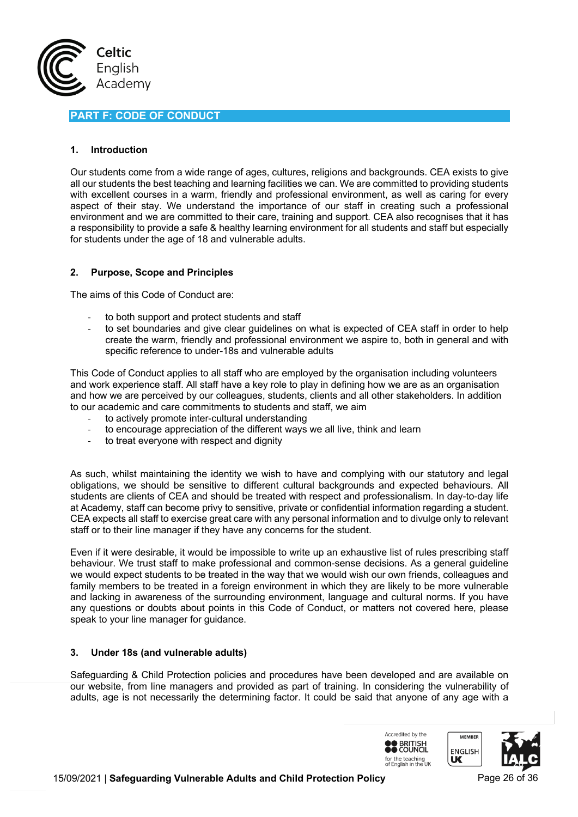

# **PART F: CODE OF CONDUCT**

### **1. Introduction**

Our students come from a wide range of ages, cultures, religions and backgrounds. CEA exists to give all our students the best teaching and learning facilities we can. We are committed to providing students with excellent courses in a warm, friendly and professional environment, as well as caring for every aspect of their stay. We understand the importance of our staff in creating such a professional environment and we are committed to their care, training and support. CEA also recognises that it has a responsibility to provide a safe & healthy learning environment for all students and staff but especially for students under the age of 18 and vulnerable adults.

### **2. Purpose, Scope and Principles**

The aims of this Code of Conduct are:

- to both support and protect students and staff
- to set boundaries and give clear guidelines on what is expected of CEA staff in order to help create the warm, friendly and professional environment we aspire to, both in general and with specific reference to under-18s and vulnerable adults

This Code of Conduct applies to all staff who are employed by the organisation including volunteers and work experience staff. All staff have a key role to play in defining how we are as an organisation and how we are perceived by our colleagues, students, clients and all other stakeholders. In addition to our academic and care commitments to students and staff, we aim

- to actively promote inter-cultural understanding
- to encourage appreciation of the different ways we all live, think and learn
- to treat everyone with respect and dignity

As such, whilst maintaining the identity we wish to have and complying with our statutory and legal obligations, we should be sensitive to different cultural backgrounds and expected behaviours. All students are clients of CEA and should be treated with respect and professionalism. In day-to-day life at Academy, staff can become privy to sensitive, private or confidential information regarding a student. CEA expects all staff to exercise great care with any personal information and to divulge only to relevant staff or to their line manager if they have any concerns for the student.

Even if it were desirable, it would be impossible to write up an exhaustive list of rules prescribing staff behaviour. We trust staff to make professional and common-sense decisions. As a general guideline we would expect students to be treated in the way that we would wish our own friends, colleagues and family members to be treated in a foreign environment in which they are likely to be more vulnerable and lacking in awareness of the surrounding environment, language and cultural norms. If you have any questions or doubts about points in this Code of Conduct, or matters not covered here, please speak to your line manager for guidance.

### **3. Under 18s (and vulnerable adults)**

Safeguarding & Child Protection policies and procedures have been developed and are available on our website, from line managers and provided as part of training. In considering the vulnerability of adults, age is not necessarily the determining factor. It could be said that anyone of any age with a

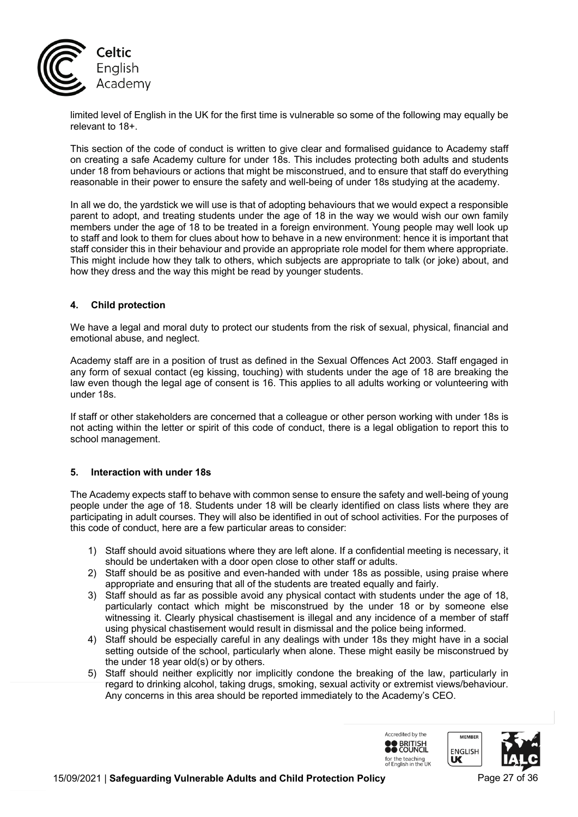

limited level of English in the UK for the first time is vulnerable so some of the following may equally be relevant to 18+.

This section of the code of conduct is written to give clear and formalised guidance to Academy staff on creating a safe Academy culture for under 18s. This includes protecting both adults and students under 18 from behaviours or actions that might be misconstrued, and to ensure that staff do everything reasonable in their power to ensure the safety and well-being of under 18s studying at the academy.

In all we do, the yardstick we will use is that of adopting behaviours that we would expect a responsible parent to adopt, and treating students under the age of 18 in the way we would wish our own family members under the age of 18 to be treated in a foreign environment. Young people may well look up to staff and look to them for clues about how to behave in a new environment: hence it is important that staff consider this in their behaviour and provide an appropriate role model for them where appropriate. This might include how they talk to others, which subjects are appropriate to talk (or joke) about, and how they dress and the way this might be read by younger students.

### **4. Child protection**

We have a legal and moral duty to protect our students from the risk of sexual, physical, financial and emotional abuse, and neglect.

Academy staff are in a position of trust as defined in the Sexual Offences Act 2003. Staff engaged in any form of sexual contact (eg kissing, touching) with students under the age of 18 are breaking the law even though the legal age of consent is 16. This applies to all adults working or volunteering with under 18s.

If staff or other stakeholders are concerned that a colleague or other person working with under 18s is not acting within the letter or spirit of this code of conduct, there is a legal obligation to report this to school management.

### **5. Interaction with under 18s**

The Academy expects staff to behave with common sense to ensure the safety and well-being of young people under the age of 18. Students under 18 will be clearly identified on class lists where they are participating in adult courses. They will also be identified in out of school activities. For the purposes of this code of conduct, here are a few particular areas to consider:

- 1) Staff should avoid situations where they are left alone. If a confidential meeting is necessary, it should be undertaken with a door open close to other staff or adults.
- 2) Staff should be as positive and even-handed with under 18s as possible, using praise where appropriate and ensuring that all of the students are treated equally and fairly.
- 3) Staff should as far as possible avoid any physical contact with students under the age of 18, particularly contact which might be misconstrued by the under 18 or by someone else witnessing it. Clearly physical chastisement is illegal and any incidence of a member of staff using physical chastisement would result in dismissal and the police being informed.
- 4) Staff should be especially careful in any dealings with under 18s they might have in a social setting outside of the school, particularly when alone. These might easily be misconstrued by the under 18 year old(s) or by others.
- 5) Staff should neither explicitly nor implicitly condone the breaking of the law, particularly in regard to drinking alcohol, taking drugs, smoking, sexual activity or extremist views/behaviour. Any concerns in this area should be reported immediately to the Academy's CEO.

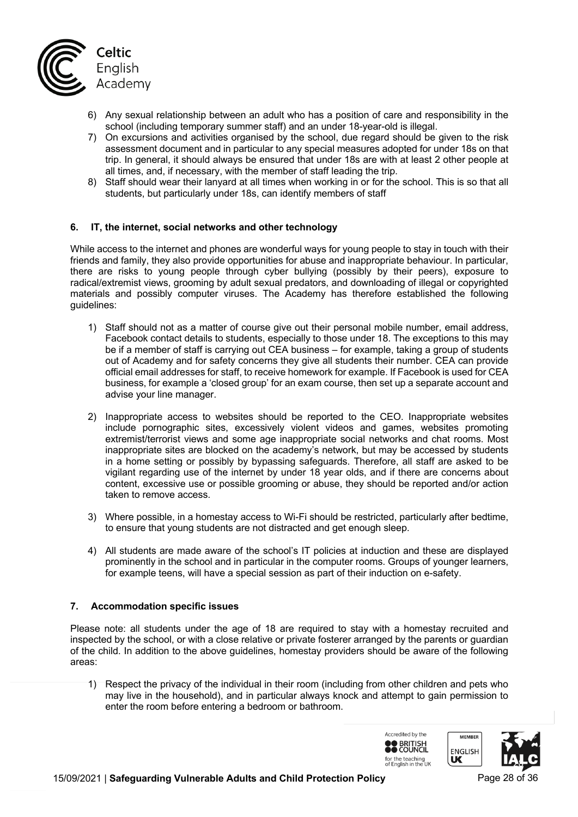

- 6) Any sexual relationship between an adult who has a position of care and responsibility in the school (including temporary summer staff) and an under 18-year-old is illegal.
- 7) On excursions and activities organised by the school, due regard should be given to the risk assessment document and in particular to any special measures adopted for under 18s on that trip. In general, it should always be ensured that under 18s are with at least 2 other people at all times, and, if necessary, with the member of staff leading the trip.
- 8) Staff should wear their lanyard at all times when working in or for the school. This is so that all students, but particularly under 18s, can identify members of staff

#### **6. IT, the internet, social networks and other technology**

While access to the internet and phones are wonderful ways for young people to stay in touch with their friends and family, they also provide opportunities for abuse and inappropriate behaviour. In particular, there are risks to young people through cyber bullying (possibly by their peers), exposure to radical/extremist views, grooming by adult sexual predators, and downloading of illegal or copyrighted materials and possibly computer viruses. The Academy has therefore established the following guidelines:

- 1) Staff should not as a matter of course give out their personal mobile number, email address, Facebook contact details to students, especially to those under 18. The exceptions to this may be if a member of staff is carrying out CEA business – for example, taking a group of students out of Academy and for safety concerns they give all students their number. CEA can provide official email addresses for staff, to receive homework for example. If Facebook is used for CEA business, for example a 'closed group' for an exam course, then set up a separate account and advise your line manager.
- 2) Inappropriate access to websites should be reported to the CEO. Inappropriate websites include pornographic sites, excessively violent videos and games, websites promoting extremist/terrorist views and some age inappropriate social networks and chat rooms. Most inappropriate sites are blocked on the academy's network, but may be accessed by students in a home setting or possibly by bypassing safeguards. Therefore, all staff are asked to be vigilant regarding use of the internet by under 18 year olds, and if there are concerns about content, excessive use or possible grooming or abuse, they should be reported and/or action taken to remove access.
- 3) Where possible, in a homestay access to Wi-Fi should be restricted, particularly after bedtime, to ensure that young students are not distracted and get enough sleep.
- 4) All students are made aware of the school's IT policies at induction and these are displayed prominently in the school and in particular in the computer rooms. Groups of younger learners, for example teens, will have a special session as part of their induction on e-safety.

#### **7. Accommodation specific issues**

Please note: all students under the age of 18 are required to stay with a homestay recruited and inspected by the school, or with a close relative or private fosterer arranged by the parents or guardian of the child. In addition to the above guidelines, homestay providers should be aware of the following areas:

1) Respect the privacy of the individual in their room (including from other children and pets who may live in the household), and in particular always knock and attempt to gain permission to enter the room before entering a bedroom or bathroom.

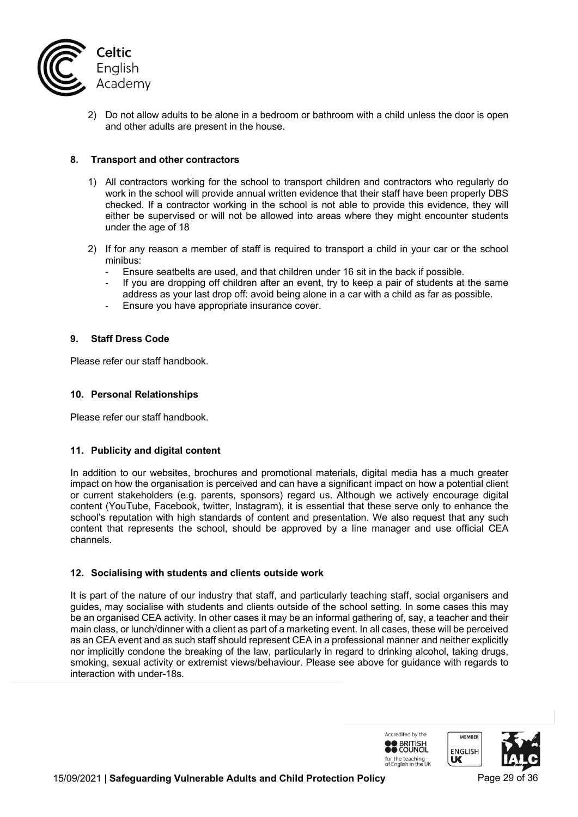

2) Do not allow adults to be alone in a bedroom or bathroom with a child unless the door is open and other adults are present in the house.

# **8. Transport and other contractors**

- 1) All contractors working for the school to transport children and contractors who regularly do work in the school will provide annual written evidence that their staff have been properly DBS checked. If a contractor working in the school is not able to provide this evidence, they will either be supervised or will not be allowed into areas where they might encounter students under the age of 18
- 2) If for any reason a member of staff is required to transport a child in your car or the school minibus:
	- Ensure seatbelts are used, and that children under 16 sit in the back if possible.
	- If you are dropping off children after an event, try to keep a pair of students at the same address as your last drop off: avoid being alone in a car with a child as far as possible.
	- Ensure you have appropriate insurance cover.

### **9. Staff Dress Code**

Please refer our staff handbook.

#### **10. Personal Relationships**

Please refer our staff handbook.

### **11. Publicity and digital content**

In addition to our websites, brochures and promotional materials, digital media has a much greater impact on how the organisation is perceived and can have a significant impact on how a potential client or current stakeholders (e.g. parents, sponsors) regard us. Although we actively encourage digital content (YouTube, Facebook, twitter, Instagram), it is essential that these serve only to enhance the school's reputation with high standards of content and presentation. We also request that any such content that represents the school, should be approved by a line manager and use official CEA channels.

### **12. Socialising with students and clients outside work**

It is part of the nature of our industry that staff, and particularly teaching staff, social organisers and guides, may socialise with students and clients outside of the school setting. In some cases this may be an organised CEA activity. In other cases it may be an informal gathering of, say, a teacher and their main class, or lunch/dinner with a client as part of a marketing event. In all cases, these will be perceived as an CEA event and as such staff should represent CEA in a professional manner and neither explicitly nor implicitly condone the breaking of the law, particularly in regard to drinking alcohol, taking drugs, smoking, sexual activity or extremist views/behaviour. Please see above for guidance with regards to interaction with under-18s.

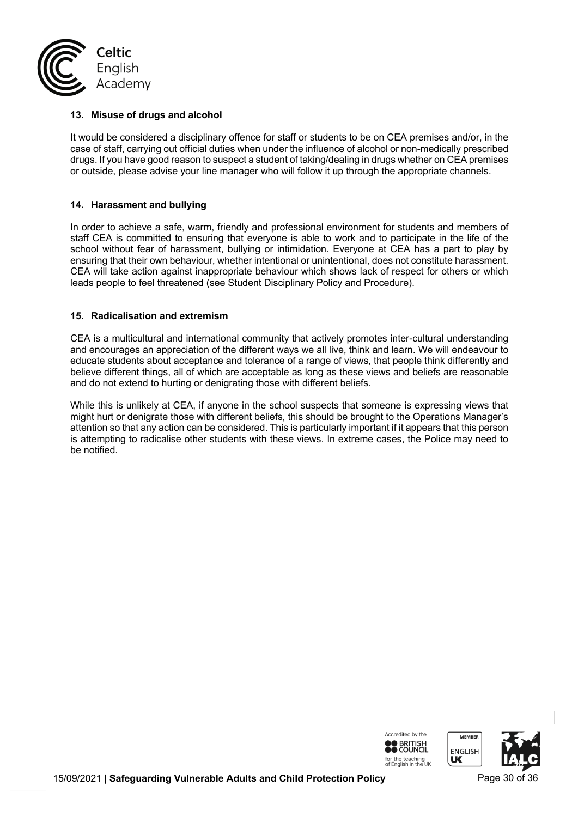

# **13. Misuse of drugs and alcohol**

It would be considered a disciplinary offence for staff or students to be on CEA premises and/or, in the case of staff, carrying out official duties when under the influence of alcohol or non-medically prescribed drugs. If you have good reason to suspect a student of taking/dealing in drugs whether on CEA premises or outside, please advise your line manager who will follow it up through the appropriate channels.

# **14. Harassment and bullying**

In order to achieve a safe, warm, friendly and professional environment for students and members of staff CEA is committed to ensuring that everyone is able to work and to participate in the life of the school without fear of harassment, bullying or intimidation. Everyone at CEA has a part to play by ensuring that their own behaviour, whether intentional or unintentional, does not constitute harassment. CEA will take action against inappropriate behaviour which shows lack of respect for others or which leads people to feel threatened (see Student Disciplinary Policy and Procedure).

### **15. Radicalisation and extremism**

CEA is a multicultural and international community that actively promotes inter-cultural understanding and encourages an appreciation of the different ways we all live, think and learn. We will endeavour to educate students about acceptance and tolerance of a range of views, that people think differently and believe different things, all of which are acceptable as long as these views and beliefs are reasonable and do not extend to hurting or denigrating those with different beliefs.

While this is unlikely at CEA, if anyone in the school suspects that someone is expressing views that might hurt or denigrate those with different beliefs, this should be brought to the Operations Manager's attention so that any action can be considered. This is particularly important if it appears that this person is attempting to radicalise other students with these views. In extreme cases, the Police may need to be notified.

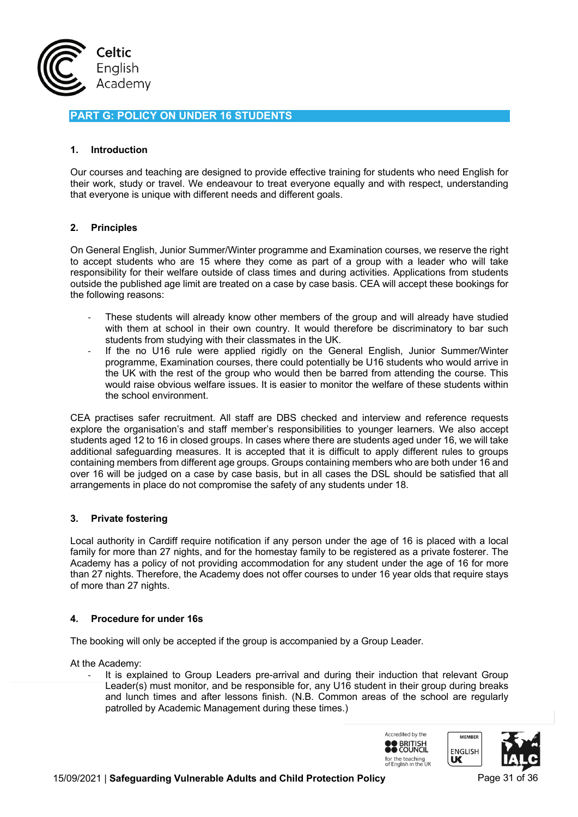

# **PART G: POLICY ON UNDER 16 STUDENTS**

### **1. Introduction**

Our courses and teaching are designed to provide effective training for students who need English for their work, study or travel. We endeavour to treat everyone equally and with respect, understanding that everyone is unique with different needs and different goals.

#### **2. Principles**

On General English, Junior Summer/Winter programme and Examination courses, we reserve the right to accept students who are 15 where they come as part of a group with a leader who will take responsibility for their welfare outside of class times and during activities. Applications from students outside the published age limit are treated on a case by case basis. CEA will accept these bookings for the following reasons:

- These students will already know other members of the group and will already have studied with them at school in their own country. It would therefore be discriminatory to bar such students from studying with their classmates in the UK.
- If the no U16 rule were applied rigidly on the General English, Junior Summer/Winter programme, Examination courses, there could potentially be U16 students who would arrive in the UK with the rest of the group who would then be barred from attending the course. This would raise obvious welfare issues. It is easier to monitor the welfare of these students within the school environment.

CEA practises safer recruitment. All staff are DBS checked and interview and reference requests explore the organisation's and staff member's responsibilities to younger learners. We also accept students aged 12 to 16 in closed groups. In cases where there are students aged under 16, we will take additional safeguarding measures. It is accepted that it is difficult to apply different rules to groups containing members from different age groups. Groups containing members who are both under 16 and over 16 will be judged on a case by case basis, but in all cases the DSL should be satisfied that all arrangements in place do not compromise the safety of any students under 18.

### **3. Private fostering**

Local authority in Cardiff require notification if any person under the age of 16 is placed with a local family for more than 27 nights, and for the homestay family to be registered as a private fosterer. The Academy has a policy of not providing accommodation for any student under the age of 16 for more than 27 nights. Therefore, the Academy does not offer courses to under 16 year olds that require stays of more than 27 nights.

#### **4. Procedure for under 16s**

The booking will only be accepted if the group is accompanied by a Group Leader.

At the Academy:

It is explained to Group Leaders pre-arrival and during their induction that relevant Group Leader(s) must monitor, and be responsible for, any U16 student in their group during breaks and lunch times and after lessons finish. (N.B. Common areas of the school are regularly patrolled by Academic Management during these times.)

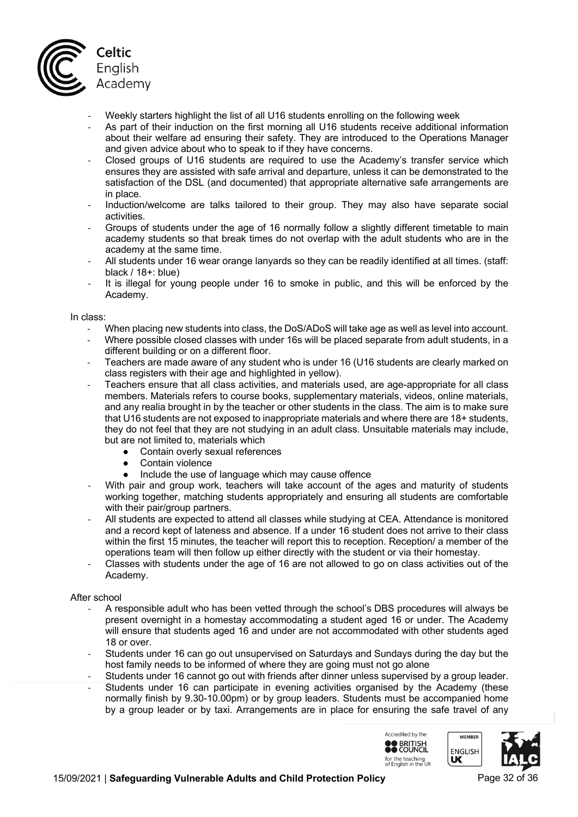

- Weekly starters highlight the list of all U16 students enrolling on the following week
- As part of their induction on the first morning all U16 students receive additional information about their welfare ad ensuring their safety. They are introduced to the Operations Manager and given advice about who to speak to if they have concerns.
- Closed groups of U16 students are required to use the Academy's transfer service which ensures they are assisted with safe arrival and departure, unless it can be demonstrated to the satisfaction of the DSL (and documented) that appropriate alternative safe arrangements are in place.
- Induction/welcome are talks tailored to their group. They may also have separate social activities.
- Groups of students under the age of 16 normally follow a slightly different timetable to main academy students so that break times do not overlap with the adult students who are in the academy at the same time.
- All students under 16 wear orange lanyards so they can be readily identified at all times. (staff: black / 18+: blue)
- It is illegal for young people under 16 to smoke in public, and this will be enforced by the Academy.

In class:

- When placing new students into class, the DoS/ADoS will take age as well as level into account. Where possible closed classes with under 16s will be placed separate from adult students, in a different building or on a different floor.
- Teachers are made aware of any student who is under 16 (U16 students are clearly marked on class registers with their age and highlighted in yellow).
- Teachers ensure that all class activities, and materials used, are age-appropriate for all class members. Materials refers to course books, supplementary materials, videos, online materials, and any realia brought in by the teacher or other students in the class. The aim is to make sure that U16 students are not exposed to inappropriate materials and where there are 18+ students, they do not feel that they are not studying in an adult class. Unsuitable materials may include, but are not limited to, materials which
	- Contain overly sexual references
	- Contain violence
	- Include the use of language which may cause offence
- With pair and group work, teachers will take account of the ages and maturity of students working together, matching students appropriately and ensuring all students are comfortable with their pair/group partners.
- All students are expected to attend all classes while studying at CEA. Attendance is monitored and a record kept of lateness and absence. If a under 16 student does not arrive to their class within the first 15 minutes, the teacher will report this to reception. Reception/ a member of the operations team will then follow up either directly with the student or via their homestay.
- Classes with students under the age of 16 are not allowed to go on class activities out of the Academy.

### After school

- A responsible adult who has been vetted through the school's DBS procedures will always be present overnight in a homestay accommodating a student aged 16 or under. The Academy will ensure that students aged 16 and under are not accommodated with other students aged 18 or over.
- Students under 16 can go out unsupervised on Saturdays and Sundays during the day but the host family needs to be informed of where they are going must not go alone
- Students under 16 cannot go out with friends after dinner unless supervised by a group leader.
- Students under 16 can participate in evening activities organised by the Academy (these normally finish by 9.30-10.00pm) or by group leaders. Students must be accompanied home by a group leader or by taxi. Arrangements are in place for ensuring the safe travel of any

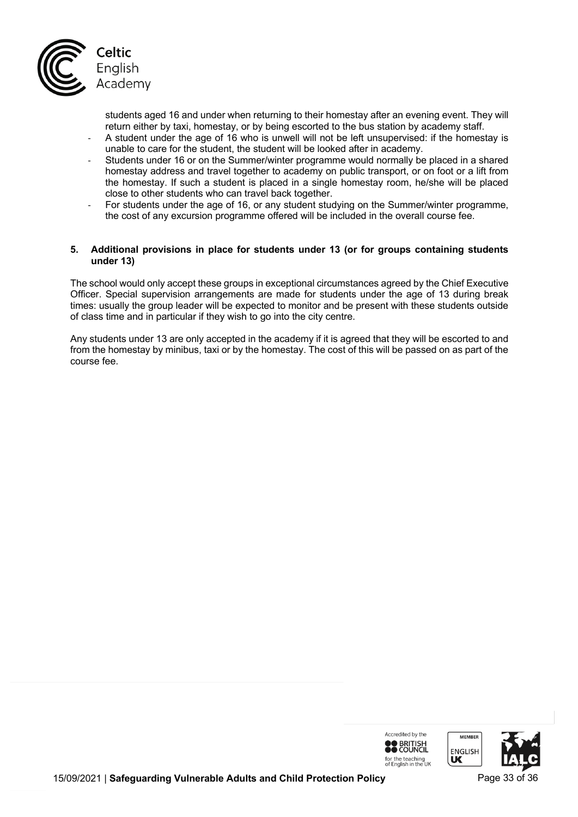

students aged 16 and under when returning to their homestay after an evening event. They will return either by taxi, homestay, or by being escorted to the bus station by academy staff.

- A student under the age of 16 who is unwell will not be left unsupervised: if the homestay is unable to care for the student, the student will be looked after in academy.
- Students under 16 or on the Summer/winter programme would normally be placed in a shared homestay address and travel together to academy on public transport, or on foot or a lift from the homestay. If such a student is placed in a single homestay room, he/she will be placed close to other students who can travel back together.
- For students under the age of 16, or any student studying on the Summer/winter programme, the cost of any excursion programme offered will be included in the overall course fee.

### **5. Additional provisions in place for students under 13 (or for groups containing students under 13)**

The school would only accept these groups in exceptional circumstances agreed by the Chief Executive Officer. Special supervision arrangements are made for students under the age of 13 during break times: usually the group leader will be expected to monitor and be present with these students outside of class time and in particular if they wish to go into the city centre.

Any students under 13 are only accepted in the academy if it is agreed that they will be escorted to and from the homestay by minibus, taxi or by the homestay. The cost of this will be passed on as part of the course fee.

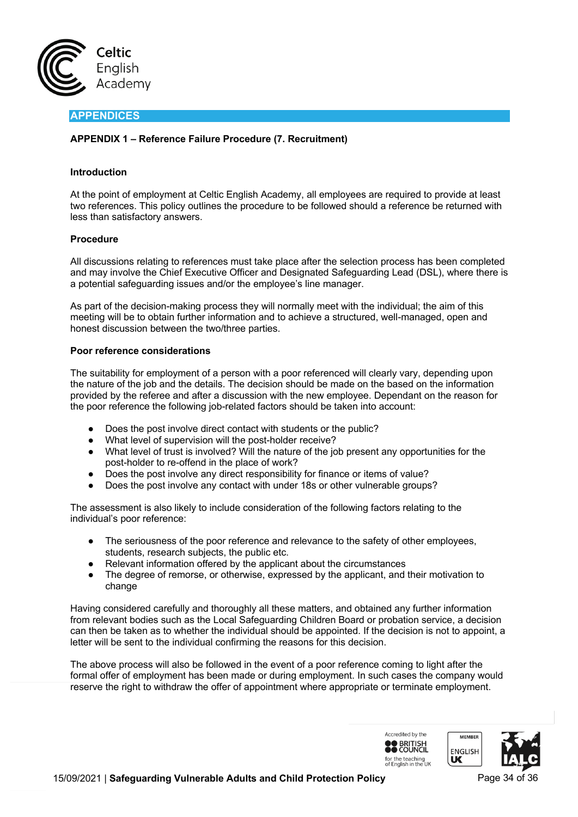

# **APPENDICES**

### **APPENDIX 1 – Reference Failure Procedure (7. Recruitment)**

#### **Introduction**

At the point of employment at Celtic English Academy, all employees are required to provide at least two references. This policy outlines the procedure to be followed should a reference be returned with less than satisfactory answers.

#### **Procedure**

All discussions relating to references must take place after the selection process has been completed and may involve the Chief Executive Officer and Designated Safeguarding Lead (DSL), where there is a potential safeguarding issues and/or the employee's line manager.

As part of the decision-making process they will normally meet with the individual; the aim of this meeting will be to obtain further information and to achieve a structured, well-managed, open and honest discussion between the two/three parties.

#### **Poor reference considerations**

The suitability for employment of a person with a poor referenced will clearly vary, depending upon the nature of the job and the details. The decision should be made on the based on the information provided by the referee and after a discussion with the new employee. Dependant on the reason for the poor reference the following job-related factors should be taken into account:

- Does the post involve direct contact with students or the public?
- What level of supervision will the post-holder receive?
- What level of trust is involved? Will the nature of the job present any opportunities for the post-holder to re-offend in the place of work?
- Does the post involve any direct responsibility for finance or items of value?
- Does the post involve any contact with under 18s or other vulnerable groups?

The assessment is also likely to include consideration of the following factors relating to the individual's poor reference:

- The seriousness of the poor reference and relevance to the safety of other employees, students, research subjects, the public etc.
- Relevant information offered by the applicant about the circumstances
- The degree of remorse, or otherwise, expressed by the applicant, and their motivation to change

Having considered carefully and thoroughly all these matters, and obtained any further information from relevant bodies such as the Local Safeguarding Children Board or probation service, a decision can then be taken as to whether the individual should be appointed. If the decision is not to appoint, a letter will be sent to the individual confirming the reasons for this decision.

The above process will also be followed in the event of a poor reference coming to light after the formal offer of employment has been made or during employment. In such cases the company would reserve the right to withdraw the offer of appointment where appropriate or terminate employment.

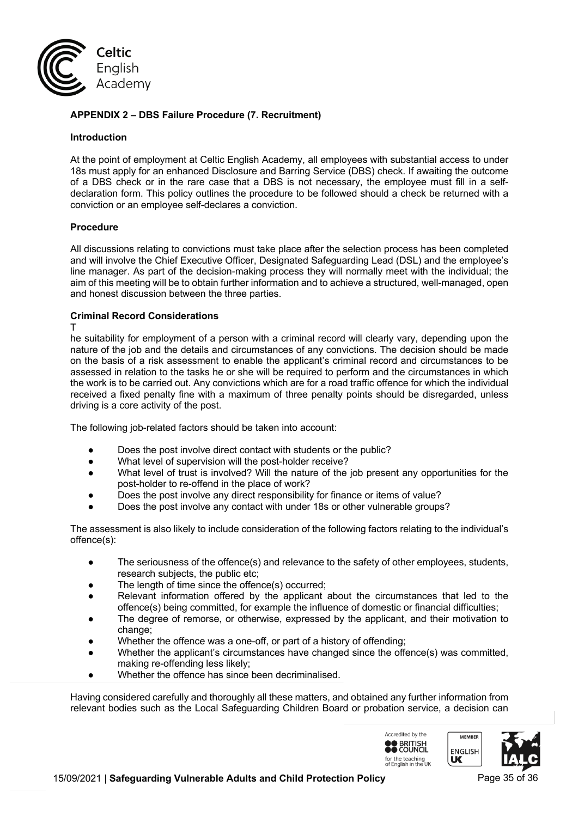

# **APPENDIX 2 – DBS Failure Procedure (7. Recruitment)**

#### **Introduction**

At the point of employment at Celtic English Academy, all employees with substantial access to under 18s must apply for an enhanced Disclosure and Barring Service (DBS) check. If awaiting the outcome of a DBS check or in the rare case that a DBS is not necessary, the employee must fill in a selfdeclaration form. This policy outlines the procedure to be followed should a check be returned with a conviction or an employee self-declares a conviction.

#### **Procedure**

All discussions relating to convictions must take place after the selection process has been completed and will involve the Chief Executive Officer, Designated Safeguarding Lead (DSL) and the employee's line manager. As part of the decision-making process they will normally meet with the individual; the aim of this meeting will be to obtain further information and to achieve a structured, well-managed, open and honest discussion between the three parties.

#### **Criminal Record Considerations**

T

he suitability for employment of a person with a criminal record will clearly vary, depending upon the nature of the job and the details and circumstances of any convictions. The decision should be made on the basis of a risk assessment to enable the applicant's criminal record and circumstances to be assessed in relation to the tasks he or she will be required to perform and the circumstances in which the work is to be carried out. Any convictions which are for a road traffic offence for which the individual received a fixed penalty fine with a maximum of three penalty points should be disregarded, unless driving is a core activity of the post.

The following job-related factors should be taken into account:

- Does the post involve direct contact with students or the public?
- What level of supervision will the post-holder receive?
- What level of trust is involved? Will the nature of the job present any opportunities for the post-holder to re-offend in the place of work?
- Does the post involve any direct responsibility for finance or items of value?
- Does the post involve any contact with under 18s or other vulnerable groups?

The assessment is also likely to include consideration of the following factors relating to the individual's offence(s):

- The seriousness of the offence(s) and relevance to the safety of other employees, students, research subjects, the public etc;
- The length of time since the offence(s) occurred;
- Relevant information offered by the applicant about the circumstances that led to the offence(s) being committed, for example the influence of domestic or financial difficulties;
- The degree of remorse, or otherwise, expressed by the applicant, and their motivation to change;
- Whether the offence was a one-off, or part of a history of offending;
- Whether the applicant's circumstances have changed since the offence(s) was committed, making re-offending less likely;
- Whether the offence has since been decriminalised.

Having considered carefully and thoroughly all these matters, and obtained any further information from relevant bodies such as the Local Safeguarding Children Board or probation service, a decision can